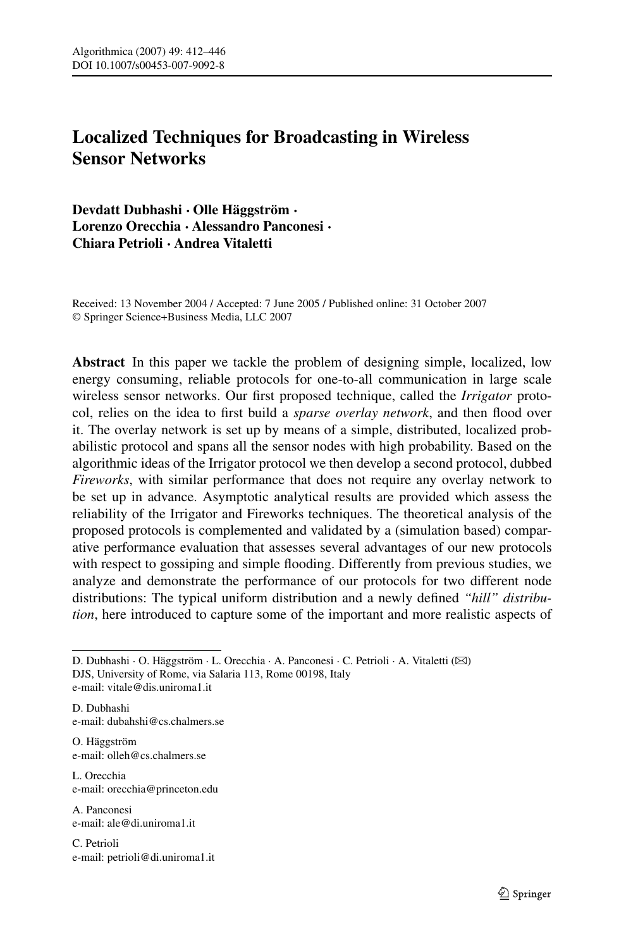# **Localized Techniques for Broadcasting in Wireless Sensor Networks**

**Devdatt Dubhashi · Olle Häggström · Lorenzo Orecchia · Alessandro Panconesi · Chiara Petrioli · Andrea Vitaletti**

Received: 13 November 2004 / Accepted: 7 June 2005 / Published online: 31 October 2007 © Springer Science+Business Media, LLC 2007

**Abstract** In this paper we tackle the problem of designing simple, localized, low energy consuming, reliable protocols for one-to-all communication in large scale wireless sensor networks. Our first proposed technique, called the *Irrigator* protocol, relies on the idea to first build a *sparse overlay network*, and then flood over it. The overlay network is set up by means of a simple, distributed, localized probabilistic protocol and spans all the sensor nodes with high probability. Based on the algorithmic ideas of the Irrigator protocol we then develop a second protocol, dubbed *Fireworks*, with similar performance that does not require any overlay network to be set up in advance. Asymptotic analytical results are provided which assess the reliability of the Irrigator and Fireworks techniques. The theoretical analysis of the proposed protocols is complemented and validated by a (simulation based) comparative performance evaluation that assesses several advantages of our new protocols with respect to gossiping and simple flooding. Differently from previous studies, we analyze and demonstrate the performance of our protocols for two different node distributions: The typical uniform distribution and a newly defined *"hill" distribution*, here introduced to capture some of the important and more realistic aspects of

D. Dubhashi e-mail: dubahshi@cs.chalmers.se

O. Häggström e-mail: olleh@cs.chalmers.se

L. Orecchia e-mail: orecchia@princeton.edu

A. Panconesi e-mail: ale@di.uniroma1.it

C. Petrioli e-mail: petrioli@di.uniroma1.it

D. Dubhashi · O. Häggström · L. Orecchia · A. Panconesi · C. Petrioli · A. Vitaletti ( $\boxtimes$ ) DJS, University of Rome, via Salaria 113, Rome 00198, Italy e-mail: vitale@dis.uniroma1.it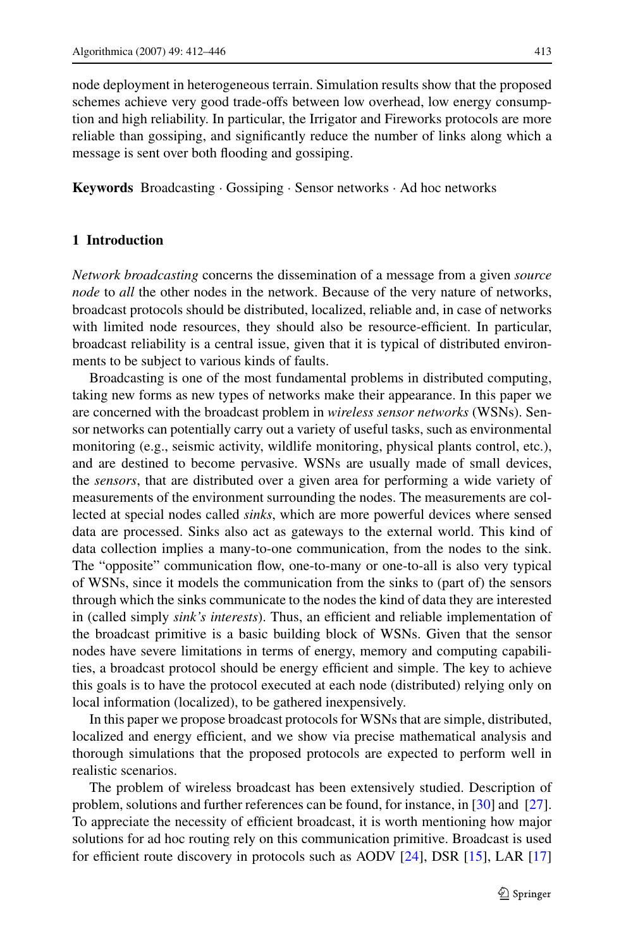node deployment in heterogeneous terrain. Simulation results show that the proposed schemes achieve very good trade-offs between low overhead, low energy consumption and high reliability. In particular, the Irrigator and Fireworks protocols are more reliable than gossiping, and significantly reduce the number of links along which a message is sent over both flooding and gossiping.

**Keywords** Broadcasting · Gossiping · Sensor networks · Ad hoc networks

# **1 Introduction**

*Network broadcasting* concerns the dissemination of a message from a given *source node* to *all* the other nodes in the network. Because of the very nature of networks, broadcast protocols should be distributed, localized, reliable and, in case of networks with limited node resources, they should also be resource-efficient. In particular, broadcast reliability is a central issue, given that it is typical of distributed environments to be subject to various kinds of faults.

Broadcasting is one of the most fundamental problems in distributed computing, taking new forms as new types of networks make their appearance. In this paper we are concerned with the broadcast problem in *wireless sensor networks* (WSNs). Sensor networks can potentially carry out a variety of useful tasks, such as environmental monitoring (e.g., seismic activity, wildlife monitoring, physical plants control, etc.), and are destined to become pervasive. WSNs are usually made of small devices, the *sensors*, that are distributed over a given area for performing a wide variety of measurements of the environment surrounding the nodes. The measurements are collected at special nodes called *sinks*, which are more powerful devices where sensed data are processed. Sinks also act as gateways to the external world. This kind of data collection implies a many-to-one communication, from the nodes to the sink. The "opposite" communication flow, one-to-many or one-to-all is also very typical of WSNs, since it models the communication from the sinks to (part of) the sensors through which the sinks communicate to the nodes the kind of data they are interested in (called simply *sink's interests*). Thus, an efficient and reliable implementation of the broadcast primitive is a basic building block of WSNs. Given that the sensor nodes have severe limitations in terms of energy, memory and computing capabilities, a broadcast protocol should be energy efficient and simple. The key to achieve this goals is to have the protocol executed at each node (distributed) relying only on local information (localized), to be gathered inexpensively.

In this paper we propose broadcast protocols for WSNs that are simple, distributed, localized and energy efficient, and we show via precise mathematical analysis and thorough simulations that the proposed protocols are expected to perform well in realistic scenarios.

The problem of wireless broadcast has been extensively studied. Description of problem, solutions and further references can be found, for instance, in [[30\]](#page-34-0) and [[27\]](#page-34-0). To appreciate the necessity of efficient broadcast, it is worth mentioning how major solutions for ad hoc routing rely on this communication primitive. Broadcast is used for efficient route discovery in protocols such as AODV [\[24](#page-33-0)], DSR [\[15\]](#page-33-0), LAR [\[17](#page-33-0)]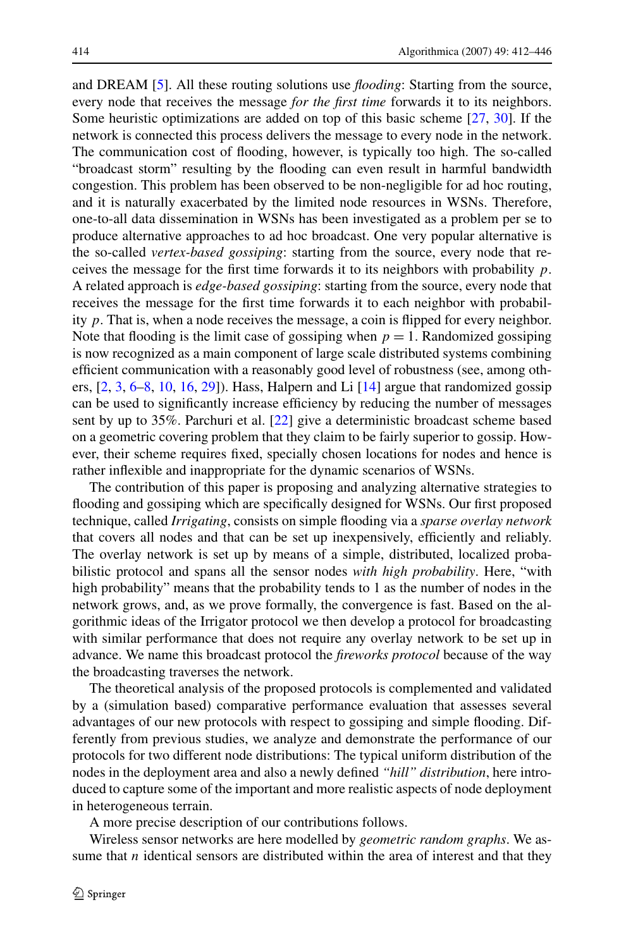and DREAM [\[5](#page-33-0)]. All these routing solutions use *flooding*: Starting from the source, every node that receives the message *for the first time* forwards it to its neighbors. Some heuristic optimizations are added on top of this basic scheme [\[27](#page-34-0), [30\]](#page-34-0). If the network is connected this process delivers the message to every node in the network. The communication cost of flooding, however, is typically too high. The so-called "broadcast storm" resulting by the flooding can even result in harmful bandwidth congestion. This problem has been observed to be non-negligible for ad hoc routing, and it is naturally exacerbated by the limited node resources in WSNs. Therefore, one-to-all data dissemination in WSNs has been investigated as a problem per se to produce alternative approaches to ad hoc broadcast. One very popular alternative is the so-called *vertex-based gossiping*: starting from the source, every node that receives the message for the first time forwards it to its neighbors with probability *p*. A related approach is *edge-based gossiping*: starting from the source, every node that receives the message for the first time forwards it to each neighbor with probability *p*. That is, when a node receives the message, a coin is flipped for every neighbor. Note that flooding is the limit case of gossiping when  $p = 1$ . Randomized gossiping is now recognized as a main component of large scale distributed systems combining efficient communication with a reasonably good level of robustness (see, among others,  $[2, 3, 6-8, 10, 16, 29]$  $[2, 3, 6-8, 10, 16, 29]$  $[2, 3, 6-8, 10, 16, 29]$  $[2, 3, 6-8, 10, 16, 29]$  $[2, 3, 6-8, 10, 16, 29]$  $[2, 3, 6-8, 10, 16, 29]$  $[2, 3, 6-8, 10, 16, 29]$  $[2, 3, 6-8, 10, 16, 29]$  $[2, 3, 6-8, 10, 16, 29]$  $[2, 3, 6-8, 10, 16, 29]$  $[2, 3, 6-8, 10, 16, 29]$ . Hass, Halpern and Li  $[14]$  $[14]$  argue that randomized gossip can be used to significantly increase efficiency by reducing the number of messages sent by up to 35%. Parchuri et al. [[22\]](#page-33-0) give a deterministic broadcast scheme based on a geometric covering problem that they claim to be fairly superior to gossip. However, their scheme requires fixed, specially chosen locations for nodes and hence is

The contribution of this paper is proposing and analyzing alternative strategies to flooding and gossiping which are specifically designed for WSNs. Our first proposed technique, called *Irrigating*, consists on simple flooding via a *sparse overlay network* that covers all nodes and that can be set up inexpensively, efficiently and reliably. The overlay network is set up by means of a simple, distributed, localized probabilistic protocol and spans all the sensor nodes *with high probability*. Here, "with high probability" means that the probability tends to 1 as the number of nodes in the network grows, and, as we prove formally, the convergence is fast. Based on the algorithmic ideas of the Irrigator protocol we then develop a protocol for broadcasting with similar performance that does not require any overlay network to be set up in advance. We name this broadcast protocol the *fireworks protocol* because of the way the broadcasting traverses the network.

rather inflexible and inappropriate for the dynamic scenarios of WSNs.

The theoretical analysis of the proposed protocols is complemented and validated by a (simulation based) comparative performance evaluation that assesses several advantages of our new protocols with respect to gossiping and simple flooding. Differently from previous studies, we analyze and demonstrate the performance of our protocols for two different node distributions: The typical uniform distribution of the nodes in the deployment area and also a newly defined *"hill" distribution*, here introduced to capture some of the important and more realistic aspects of node deployment in heterogeneous terrain.

A more precise description of our contributions follows.

Wireless sensor networks are here modelled by *geometric random graphs*. We assume that *n* identical sensors are distributed within the area of interest and that they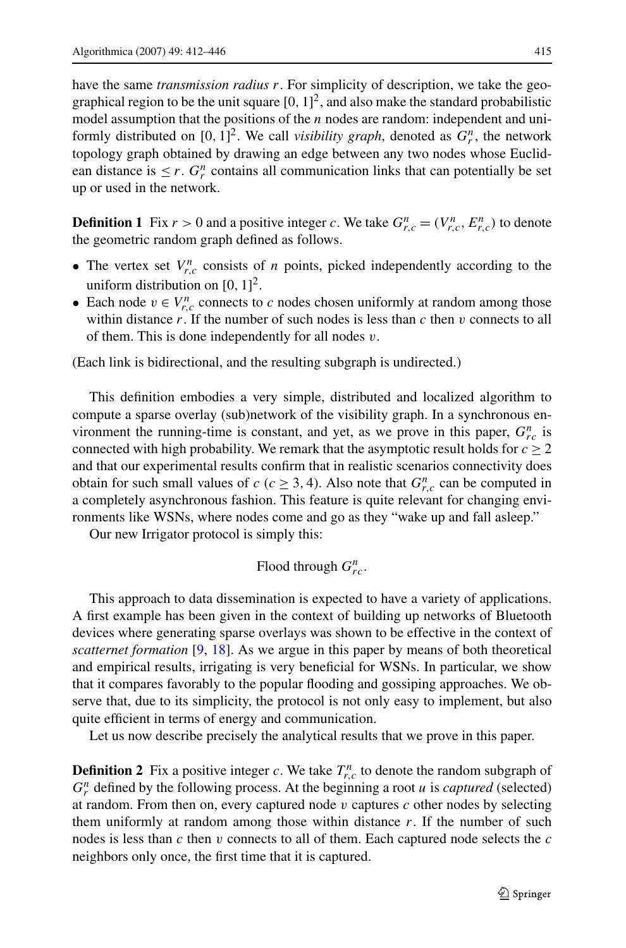<span id="page-3-0"></span>have the same *transmission radius r*. For simplicity of description, we take the geographical region to be the unit square  $[0, 1]^2$ , and also make the standard probabilistic model assumption that the positions of the *n* nodes are random: independent and uniformly distributed on  $[0, 1]^2$ . We call *visibility graph*, denoted as  $G_r^n$ , the network topology graph obtained by drawing an edge between any two nodes whose Euclidean distance is  $\leq r$ .  $G_r^n$  contains all communication links that can potentially be set up or used in the network.

**Definition 1** Fix  $r > 0$  and a positive integer *c*. We take  $G_{r,c}^n = (V_{r,c}^n, E_{r,c}^n)$  to denote the geometric random graph defined as follows.

- The vertex set  $V_{r,c}^n$  consists of *n* points, picked independently according to the uniform distribution on  $[0, 1]^2$ .
- Each node  $v \in V_{r,c}^n$  connects to *c* nodes chosen uniformly at random among those within distance *r*. If the number of such nodes is less than *c* then *v* connects to all of them. This is done independently for all nodes *v*.

(Each link is bidirectional, and the resulting subgraph is undirected.)

This definition embodies a very simple, distributed and localized algorithm to compute a sparse overlay (sub)network of the visibility graph. In a synchronous environment the running-time is constant, and yet, as we prove in this paper,  $G_{rc}^n$  is connected with high probability. We remark that the asymptotic result holds for  $c \geq 2$ and that our experimental results confirm that in realistic scenarios connectivity does obtain for such small values of  $c$  ( $c \geq 3, 4$ ). Also note that  $G_{r,c}^n$  can be computed in a completely asynchronous fashion. This feature is quite relevant for changing environments like WSNs, where nodes come and go as they "wake up and fall asleep."

Our new Irrigator protocol is simply this:

Flood through 
$$
G_{rc}^n
$$
.

This approach to data dissemination is expected to have a variety of applications. A first example has been given in the context of building up networks of Bluetooth devices where generating sparse overlays was shown to be effective in the context of *scatternet formation* [\[9](#page-33-0), [18\]](#page-33-0). As we argue in this paper by means of both theoretical and empirical results, irrigating is very beneficial for WSNs. In particular, we show that it compares favorably to the popular flooding and gossiping approaches. We observe that, due to its simplicity, the protocol is not only easy to implement, but also quite efficient in terms of energy and communication.

Let us now describe precisely the analytical results that we prove in this paper.

**Definition 2** Fix a positive integer *c*. We take  $T_{r,c}^n$  to denote the random subgraph of  $G_r^n$  defined by the following process. At the beginning a root *u* is *captured* (selected) at random. From then on, every captured node *v* captures *c* other nodes by selecting them uniformly at random among those within distance *r*. If the number of such nodes is less than *c* then *v* connects to all of them. Each captured node selects the *c* neighbors only once, the first time that it is captured.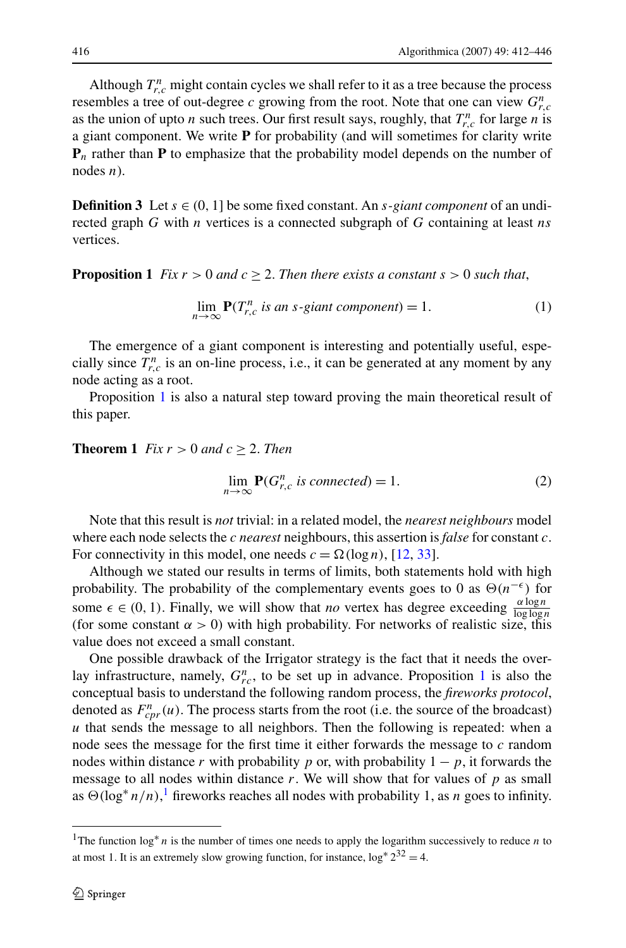<span id="page-4-0"></span>Although  $T_{r,c}^n$  might contain cycles we shall refer to it as a tree because the process resembles a tree of out-degree *c* growing from the root. Note that one can view  $G_{r,c}^n$ as the union of upto *n* such trees. Our first result says, roughly, that  $T_{r,c}^n$  for large *n* is a giant component. We write **P** for probability (and will sometimes for clarity write **P***<sup>n</sup>* rather than **P** to emphasize that the probability model depends on the number of nodes *n*).

**Definition 3** Let  $s \in (0, 1]$  be some fixed constant. An *s-giant component* of an undirected graph *G* with *n* vertices is a connected subgraph of *G* containing at least *ns* vertices.

**Proposition 1** *Fix*  $r > 0$  *and*  $c \geq 2$ *. Then there exists a constant*  $s > 0$  *such that*,

$$
\lim_{n \to \infty} \mathbf{P}(T_{r,c}^n \text{ is an } s\text{-giant component}) = 1. \tag{1}
$$

The emergence of a giant component is interesting and potentially useful, especially since  $T_{r,c}^n$  is an on-line process, i.e., it can be generated at any moment by any node acting as a root.

Proposition 1 is also a natural step toward proving the main theoretical result of this paper.

**Theorem 1** *Fix*  $r > 0$  *and*  $c \geq 2$ *. Then* 

$$
\lim_{n \to \infty} \mathbf{P}(G_{r,c}^n \text{ is connected}) = 1. \tag{2}
$$

Note that this result is *not* trivial: in a related model, the *nearest neighbours* model where each node selects the *c nearest* neighbours, this assertion is *false* for constant *c*. For connectivity in this model, one needs  $c = \Omega(\log n)$ , [\[12,](#page-33-0) [33\]](#page-34-0).

Although we stated our results in terms of limits, both statements hold with high probability. The probability of the complementary events goes to 0 as  $\Theta(n^{-\epsilon})$  for some  $\epsilon \in (0, 1)$ . Finally, we will show that *no* vertex has degree exceeding  $\frac{\alpha \log n}{\log \log n}$ (for some constant  $\alpha > 0$ ) with high probability. For networks of realistic size, this value does not exceed a small constant.

One possible drawback of the Irrigator strategy is the fact that it needs the overlay infrastructure, namely,  $G_{rc}^n$ , to be set up in advance. Proposition 1 is also the conceptual basis to understand the following random process, the *fireworks protocol*, denoted as  $F_{cpr}^n(u)$ . The process starts from the root (i.e. the source of the broadcast) *u* that sends the message to all neighbors. Then the following is repeated: when a node sees the message for the first time it either forwards the message to *c* random nodes within distance *r* with probability *p* or, with probability  $1 - p$ , it forwards the message to all nodes within distance  $r$ . We will show that for values of  $p$  as small as  $\Theta(\log^* n/n)$ ,<sup>1</sup> fireworks reaches all nodes with probability 1, as *n* goes to infinity.

<sup>1</sup>The function log<sup>∗</sup> *n* is the number of times one needs to apply the logarithm successively to reduce *n* to at most 1. It is an extremely slow growing function, for instance,  $\log^* 2^{32} = 4$ .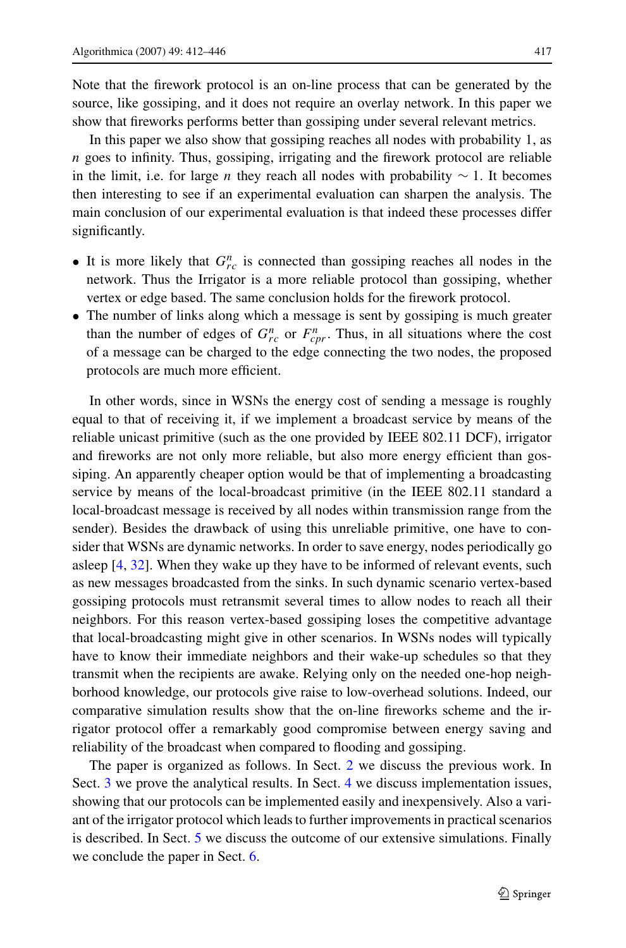Note that the firework protocol is an on-line process that can be generated by the source, like gossiping, and it does not require an overlay network. In this paper we show that fireworks performs better than gossiping under several relevant metrics.

In this paper we also show that gossiping reaches all nodes with probability 1, as *n* goes to infinity. Thus, gossiping, irrigating and the firework protocol are reliable in the limit, i.e. for large *n* they reach all nodes with probability  $\sim$  1. It becomes then interesting to see if an experimental evaluation can sharpen the analysis. The main conclusion of our experimental evaluation is that indeed these processes differ significantly.

- It is more likely that  $G_{rc}^n$  is connected than gossiping reaches all nodes in the network. Thus the Irrigator is a more reliable protocol than gossiping, whether vertex or edge based. The same conclusion holds for the firework protocol.
- The number of links along which a message is sent by gossiping is much greater than the number of edges of  $G_{rc}^n$  or  $F_{cpr}^n$ . Thus, in all situations where the cost of a message can be charged to the edge connecting the two nodes, the proposed protocols are much more efficient.

In other words, since in WSNs the energy cost of sending a message is roughly equal to that of receiving it, if we implement a broadcast service by means of the reliable unicast primitive (such as the one provided by IEEE 802.11 DCF), irrigator and fireworks are not only more reliable, but also more energy efficient than gossiping. An apparently cheaper option would be that of implementing a broadcasting service by means of the local-broadcast primitive (in the IEEE 802.11 standard a local-broadcast message is received by all nodes within transmission range from the sender). Besides the drawback of using this unreliable primitive, one have to consider that WSNs are dynamic networks. In order to save energy, nodes periodically go asleep [[4,](#page-33-0) [32\]](#page-34-0). When they wake up they have to be informed of relevant events, such as new messages broadcasted from the sinks. In such dynamic scenario vertex-based gossiping protocols must retransmit several times to allow nodes to reach all their neighbors. For this reason vertex-based gossiping loses the competitive advantage that local-broadcasting might give in other scenarios. In WSNs nodes will typically have to know their immediate neighbors and their wake-up schedules so that they transmit when the recipients are awake. Relying only on the needed one-hop neighborhood knowledge, our protocols give raise to low-overhead solutions. Indeed, our comparative simulation results show that the on-line fireworks scheme and the irrigator protocol offer a remarkably good compromise between energy saving and reliability of the broadcast when compared to flooding and gossiping.

The paper is organized as follows. In Sect. [2](#page-6-0) we discuss the previous work. In Sect. [3](#page-7-0) we prove the analytical results. In Sect. [4](#page-15-0) we discuss implementation issues, showing that our protocols can be implemented easily and inexpensively. Also a variant of the irrigator protocol which leads to further improvements in practical scenarios is described. In Sect. [5](#page-18-0) we discuss the outcome of our extensive simulations. Finally we conclude the paper in Sect. [6](#page-32-0).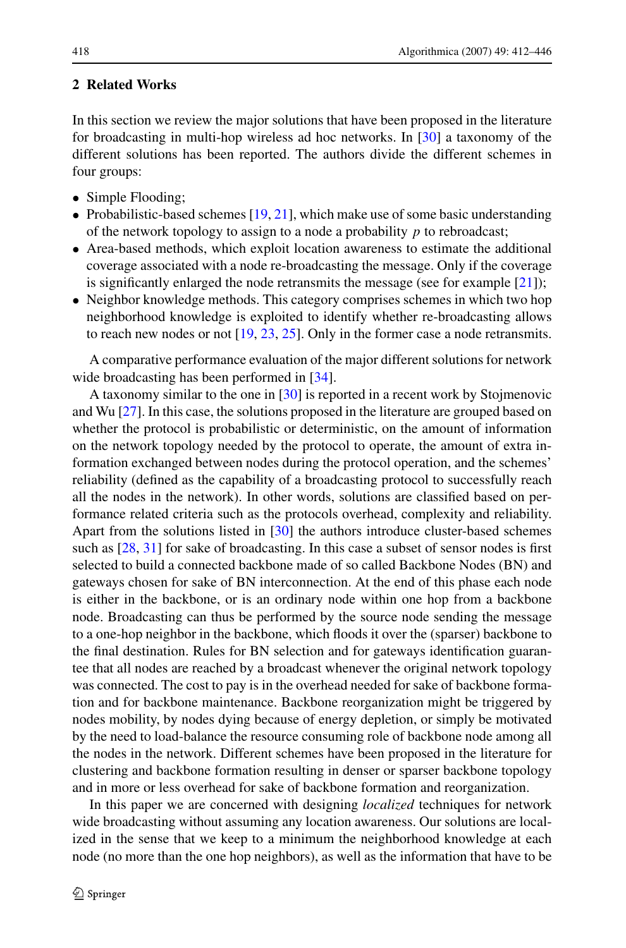## <span id="page-6-0"></span>**2 Related Works**

In this section we review the major solutions that have been proposed in the literature for broadcasting in multi-hop wireless ad hoc networks. In [[30\]](#page-34-0) a taxonomy of the different solutions has been reported. The authors divide the different schemes in four groups:

- Simple Flooding;
- Probabilistic-based schemes  $[19, 21]$  $[19, 21]$  $[19, 21]$ , which make use of some basic understanding of the network topology to assign to a node a probability *p* to rebroadcast;
- Area-based methods, which exploit location awareness to estimate the additional coverage associated with a node re-broadcasting the message. Only if the coverage is significantly enlarged the node retransmits the message (see for example  $[21]$  $[21]$  $[21]$ );
- Neighbor knowledge methods. This category comprises schemes in which two hop neighborhood knowledge is exploited to identify whether re-broadcasting allows to reach new nodes or not [\[19](#page-33-0), [23](#page-33-0), [25\]](#page-33-0). Only in the former case a node retransmits.

A comparative performance evaluation of the major different solutions for network wide broadcasting has been performed in [[34\]](#page-34-0).

A taxonomy similar to the one in [[30\]](#page-34-0) is reported in a recent work by Stojmenovic and Wu [\[27](#page-34-0)]. In this case, the solutions proposed in the literature are grouped based on whether the protocol is probabilistic or deterministic, on the amount of information on the network topology needed by the protocol to operate, the amount of extra information exchanged between nodes during the protocol operation, and the schemes' reliability (defined as the capability of a broadcasting protocol to successfully reach all the nodes in the network). In other words, solutions are classified based on performance related criteria such as the protocols overhead, complexity and reliability. Apart from the solutions listed in [[30\]](#page-34-0) the authors introduce cluster-based schemes such as [[28,](#page-34-0) [31\]](#page-34-0) for sake of broadcasting. In this case a subset of sensor nodes is first selected to build a connected backbone made of so called Backbone Nodes (BN) and gateways chosen for sake of BN interconnection. At the end of this phase each node is either in the backbone, or is an ordinary node within one hop from a backbone node. Broadcasting can thus be performed by the source node sending the message to a one-hop neighbor in the backbone, which floods it over the (sparser) backbone to the final destination. Rules for BN selection and for gateways identification guarantee that all nodes are reached by a broadcast whenever the original network topology was connected. The cost to pay is in the overhead needed for sake of backbone formation and for backbone maintenance. Backbone reorganization might be triggered by nodes mobility, by nodes dying because of energy depletion, or simply be motivated by the need to load-balance the resource consuming role of backbone node among all the nodes in the network. Different schemes have been proposed in the literature for clustering and backbone formation resulting in denser or sparser backbone topology and in more or less overhead for sake of backbone formation and reorganization.

In this paper we are concerned with designing *localized* techniques for network wide broadcasting without assuming any location awareness. Our solutions are localized in the sense that we keep to a minimum the neighborhood knowledge at each node (no more than the one hop neighbors), as well as the information that have to be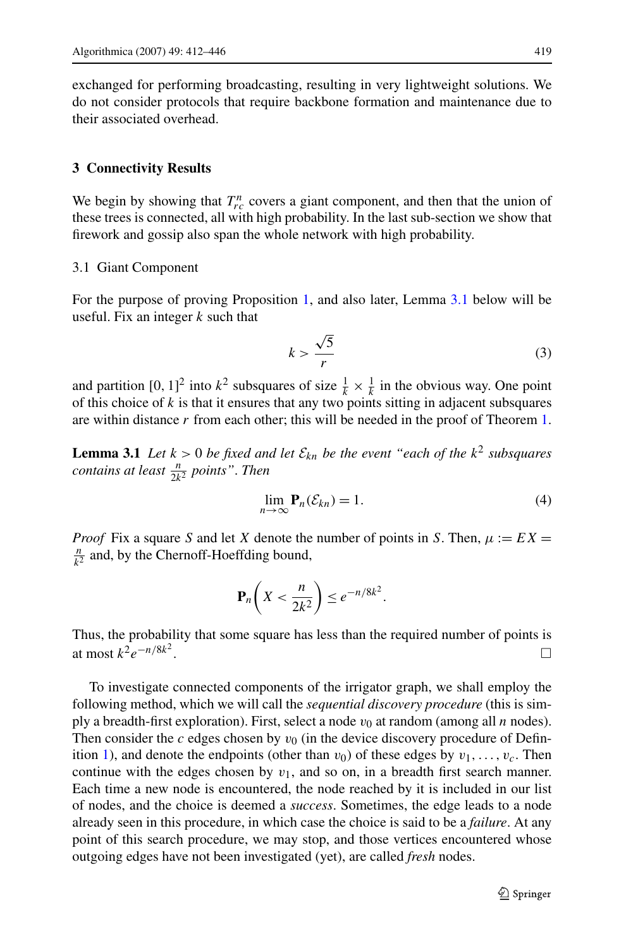<span id="page-7-0"></span>exchanged for performing broadcasting, resulting in very lightweight solutions. We do not consider protocols that require backbone formation and maintenance due to their associated overhead.

# **3 Connectivity Results**

We begin by showing that  $T_{rc}^n$  covers a giant component, and then that the union of these trees is connected, all with high probability. In the last sub-section we show that firework and gossip also span the whole network with high probability.

# 3.1 Giant Component

For the purpose of proving Proposition [1](#page-4-0), and also later, Lemma 3.1 below will be useful. Fix an integer *k* such that

$$
k > \frac{\sqrt{5}}{r} \tag{3}
$$

and partition  $[0, 1]^2$  into  $k^2$  subsquares of size  $\frac{1}{k} \times \frac{1}{k}$  in the obvious way. One point of this choice of *k* is that it ensures that any two points sitting in adjacent subsquares are within distance *r* from each other; this will be needed in the proof of Theorem [1.](#page-4-0)

**Lemma 3.1** *Let*  $k > 0$  *be fixed and let*  $\mathcal{E}_{kn}$  *be the event* "each of the  $k^2$  subsquares *contains at least*  $\frac{n}{2k^2}$  *points*". *Then* 

$$
\lim_{n \to \infty} \mathbf{P}_n(\mathcal{E}_{kn}) = 1.
$$
 (4)

*Proof* Fix a square *S* and let *X* denote the number of points in *S*. Then,  $\mu := EX =$  $\frac{n}{k^2}$  and, by the Chernoff-Hoeffding bound,

$$
\mathbf{P}_n\bigg(X < \frac{n}{2k^2}\bigg) \leq e^{-n/8k^2}.
$$

Thus, the probability that some square has less than the required number of points is at most  $k^2e^{-n/8k^2}$ . . -

To investigate connected components of the irrigator graph, we shall employ the following method, which we will call the *sequential discovery procedure* (this is simply a breadth-first exploration). First, select a node *v*<sup>0</sup> at random (among all *n* nodes). Then consider the *c* edges chosen by  $v_0$  (in the device discovery procedure of Defin-ition [1\)](#page-3-0), and denote the endpoints (other than  $v_0$ ) of these edges by  $v_1, \ldots, v_c$ . Then continue with the edges chosen by  $v_1$ , and so on, in a breadth first search manner. Each time a new node is encountered, the node reached by it is included in our list of nodes, and the choice is deemed a *success*. Sometimes, the edge leads to a node already seen in this procedure, in which case the choice is said to be a *failure*. At any point of this search procedure, we may stop, and those vertices encountered whose outgoing edges have not been investigated (yet), are called *fresh* nodes.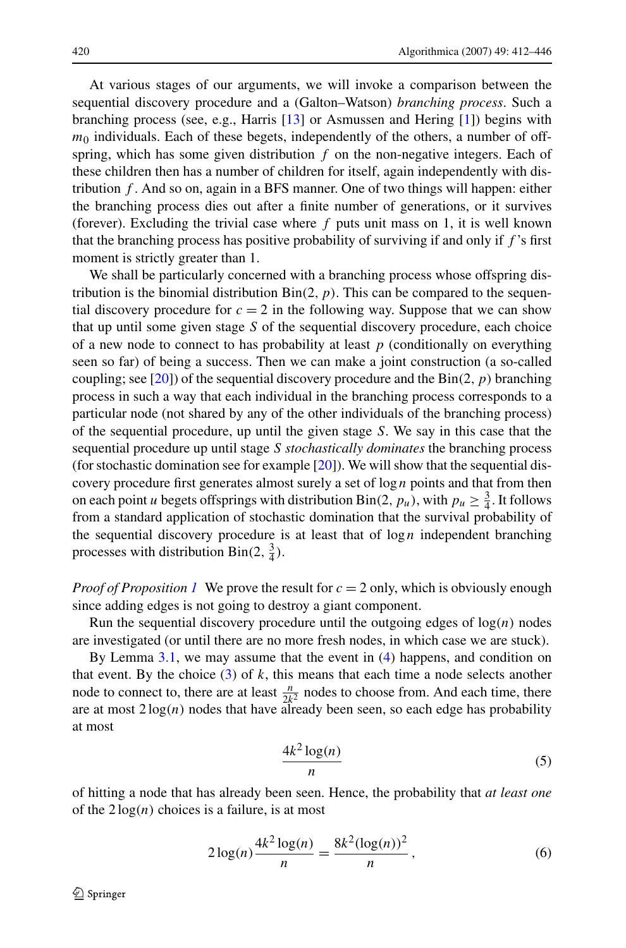<span id="page-8-0"></span>At various stages of our arguments, we will invoke a comparison between the sequential discovery procedure and a (Galton–Watson) *branching process*. Such a branching process (see, e.g., Harris [[13\]](#page-33-0) or Asmussen and Hering [[1\]](#page-33-0)) begins with  $m<sub>0</sub>$  individuals. Each of these begets, independently of the others, a number of offspring, which has some given distribution  $f$  on the non-negative integers. Each of these children then has a number of children for itself, again independently with distribution *f* . And so on, again in a BFS manner. One of two things will happen: either the branching process dies out after a finite number of generations, or it survives (forever). Excluding the trivial case where *f* puts unit mass on 1, it is well known that the branching process has positive probability of surviving if and only if *f* 's first moment is strictly greater than 1.

We shall be particularly concerned with a branching process whose offspring distribution is the binomial distribution  $\text{Bin}(2, p)$ . This can be compared to the sequential discovery procedure for  $c = 2$  in the following way. Suppose that we can show that up until some given stage *S* of the sequential discovery procedure, each choice of a new node to connect to has probability at least  $p$  (conditionally on everything seen so far) of being a success. Then we can make a joint construction (a so-called coupling; see [[20\]](#page-33-0)) of the sequential discovery procedure and the Bin*(*2*,p)* branching process in such a way that each individual in the branching process corresponds to a particular node (not shared by any of the other individuals of the branching process) of the sequential procedure, up until the given stage *S*. We say in this case that the sequential procedure up until stage *S stochastically dominates* the branching process (for stochastic domination see for example  $[20]$  $[20]$ ). We will show that the sequential discovery procedure first generates almost surely a set of log *n* points and that from then on each point *u* begets offsprings with distribution Bin(2,  $p_u$ ), with  $p_u \ge \frac{3}{4}$ . It follows from a standard application of stochastic domination that the survival probability of the sequential discovery procedure is at least that of  $\log n$  independent branching processes with distribution  $\text{Bin}(2, \frac{3}{4})$ .

*Proof of Proposition [1](#page-4-0)* We prove the result for  $c = 2$  only, which is obviously enough since adding edges is not going to destroy a giant component.

Run the sequential discovery procedure until the outgoing edges of  $log(n)$  nodes are investigated (or until there are no more fresh nodes, in which case we are stuck).

By Lemma [3.1,](#page-7-0) we may assume that the event in [\(4](#page-7-0)) happens, and condition on that event. By the choice  $(3)$  $(3)$  of  $k$ , this means that each time a node selects another node to connect to, there are at least  $\frac{n}{2k^2}$  nodes to choose from. And each time, there are at most  $2\log(n)$  nodes that have already been seen, so each edge has probability at most

$$
\frac{4k^2\log(n)}{n} \tag{5}
$$

of hitting a node that has already been seen. Hence, the probability that *at least one* of the  $2 \log(n)$  choices is a failure, is at most

$$
2\log(n)\frac{4k^2\log(n)}{n} = \frac{8k^2(\log(n))^2}{n},
$$
\n(6)

 $\mathcal{D}$  Springer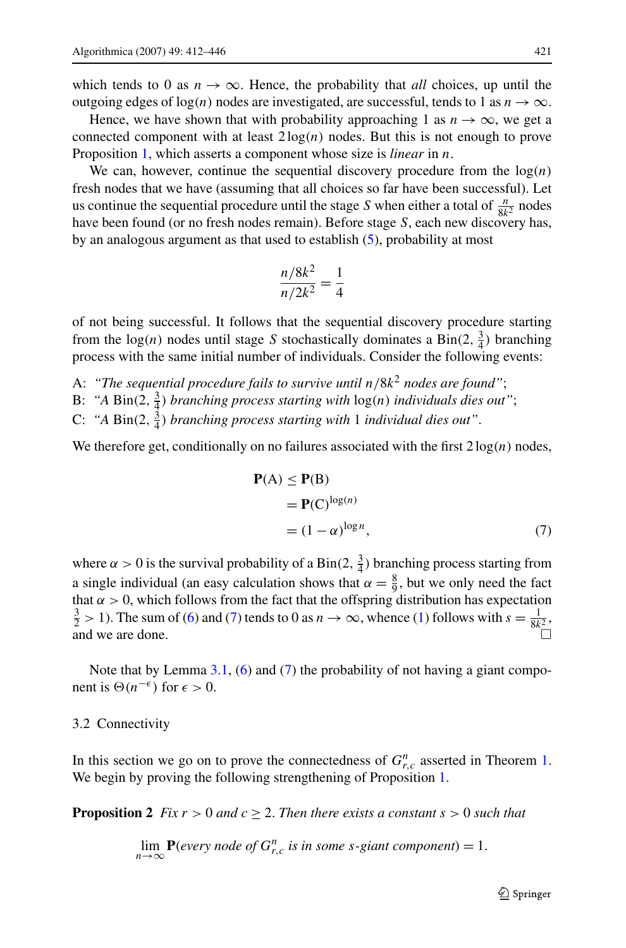<span id="page-9-0"></span>which tends to 0 as  $n \to \infty$ . Hence, the probability that *all* choices, up until the outgoing edges of  $log(n)$  nodes are investigated, are successful, tends to 1 as  $n \to \infty$ .

Hence, we have shown that with probability approaching 1 as  $n \to \infty$ , we get a connected component with at least  $2 \log(n)$  nodes. But this is not enough to prove Proposition [1](#page-4-0), which asserts a component whose size is *linear* in *n*.

We can, however, continue the sequential discovery procedure from the log*(n)* fresh nodes that we have (assuming that all choices so far have been successful). Let us continue the sequential procedure until the stage *S* when either a total of  $\frac{n}{8k^2}$  nodes have been found (or no fresh nodes remain). Before stage *S*, each new discovery has, by an analogous argument as that used to establish ([5\)](#page-8-0), probability at most

$$
\frac{n/8k^2}{n/2k^2} = \frac{1}{4}
$$

of not being successful. It follows that the sequential discovery procedure starting from the  $log(n)$  nodes until stage *S* stochastically dominates a Bin(2,  $\frac{3}{4}$ ) branching process with the same initial number of individuals. Consider the following events:

A: *"The sequential procedure fails to survive until n/*8*k*<sup>2</sup> *nodes are found"*;

B: "A Bin(2,  $\frac{3}{4}$ ) *branching process starting with*  $log(n)$  *individuals dies out"*;

C: "A  $\text{Bin}(2, \frac{3}{4})$  *branching process starting with* 1 *individual dies out*".

We therefore get, conditionally on no failures associated with the first 2 log*(n)* nodes,

$$
\mathbf{P}(A) \le \mathbf{P}(B) \n= \mathbf{P}(C)^{\log(n)} \n= (1 - \alpha)^{\log n},
$$
\n(7)

where  $\alpha > 0$  is the survival probability of a Bin(2,  $\frac{3}{4}$ ) branching process starting from a single individual (an easy calculation shows that  $\alpha = \frac{8}{9}$ , but we only need the fact that  $\alpha > 0$ , which follows from the fact that the offspring distribution has expectation  $\frac{3}{2}$  > 1). The sum of ([6\)](#page-8-0) and (7) tends to 0 as  $n \to \infty$ , whence [\(1](#page-4-0)) follows with  $s = \frac{1}{8k_0^2}$ and we are done.

Note that by Lemma [3.1](#page-7-0), ([6\)](#page-8-0) and (7) the probability of not having a giant component is  $\Theta(n^{-\epsilon})$  for  $\epsilon > 0$ .

#### 3.2 Connectivity

In this section we go on to prove the connectedness of  $G_{r,c}^n$  asserted in Theorem [1](#page-4-0). We begin by proving the following strengthening of Proposition [1](#page-4-0).

**Proposition 2** *Fix*  $r > 0$  *and*  $c > 2$ *. Then there exists a constant*  $s > 0$  *such that* 

$$
\lim_{n \to \infty} \mathbf{P}(every \, node \, of \, G_{r,c}^n \, is \, in \, some \, s\text{-}giant \, component) = 1.
$$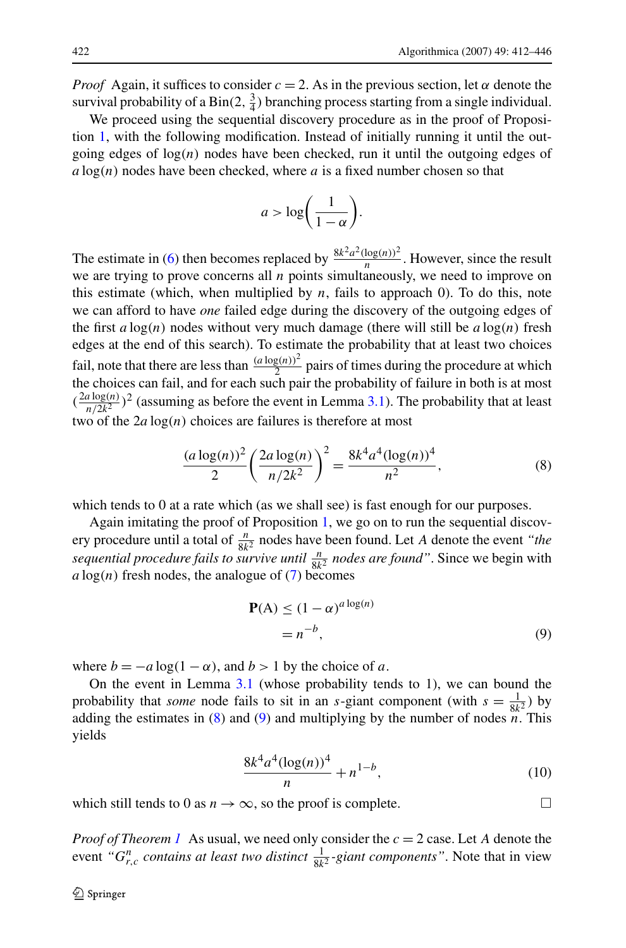*Proof* Again, it suffices to consider  $c = 2$ . As in the previous section, let  $\alpha$  denote the survival probability of a Bin(2,  $\frac{3}{4}$ ) branching process starting from a single individual.

We proceed using the sequential discovery procedure as in the proof of Proposition [1](#page-4-0), with the following modification. Instead of initially running it until the outgoing edges of log*(n)* nodes have been checked, run it until the outgoing edges of *a* log*(n)* nodes have been checked, where *a* is a fixed number chosen so that

$$
a > \log\bigg(\frac{1}{1-\alpha}\bigg).
$$

The estimate in ([6\)](#page-8-0) then becomes replaced by  $\frac{8k^2a^2(\log(n))^2}{n}$ . However, since the result we are trying to prove concerns all *n* points simultaneously, we need to improve on this estimate (which, when multiplied by  $n$ , fails to approach 0). To do this, note we can afford to have *one* failed edge during the discovery of the outgoing edges of the first *a* log*(n)* nodes without very much damage (there will still be *a* log*(n)* fresh edges at the end of this search). To estimate the probability that at least two choices fail, note that there are less than  $\frac{(a \log(n))^2}{2}$  pairs of times during the procedure at which the choices can fail, and for each such pair the probability of failure in both is at most  $(\frac{2a \log(n)}{n/2k^2})^2$  (assuming as before the event in Lemma [3.1\)](#page-7-0). The probability that at least two of the  $2a \log(n)$  choices are failures is therefore at most

$$
\frac{(a\log(n))^2}{2}\left(\frac{2a\log(n)}{n/2k^2}\right)^2 = \frac{8k^4a^4(\log(n))^4}{n^2},
$$
\n(8)

which tends to 0 at a rate which (as we shall see) is fast enough for our purposes.

Again imitating the proof of Proposition [1,](#page-4-0) we go on to run the sequential discovery procedure until a total of  $\frac{n}{8k^2}$  nodes have been found. Let *A* denote the event *"the sequential procedure fails to survive until*  $\frac{n}{8k^2}$  *nodes are found*". Since we begin with  $a \log(n)$  fresh nodes, the analogue of ([7\)](#page-9-0) becomes

$$
\mathbf{P}(\mathbf{A}) \le (1 - \alpha)^{a \log(n)} \n= n^{-b},
$$
\n(9)

where  $b = -a \log(1 - \alpha)$ , and  $b > 1$  by the choice of *a*.

On the event in Lemma [3.1](#page-7-0) (whose probability tends to 1), we can bound the probability that *some* node fails to sit in an *s*-giant component (with  $s = \frac{1}{8k^2}$ ) by adding the estimates in  $(8)$  and  $(9)$  and multiplying by the number of nodes  $n$ . This yields

$$
\frac{8k^4a^4(\log(n))^4}{n} + n^{1-b},\tag{10}
$$

which still tends to 0 as  $n \to \infty$ , so the proof is complete.

*Proof of Theorem [1](#page-4-0)* As usual, we need only consider the  $c = 2$  case. Let A denote the event " $G_{r,c}^n$  *contains at least two distinct*  $\frac{1}{8k^2}$ -giant *components*". Note that in view

 $\Box$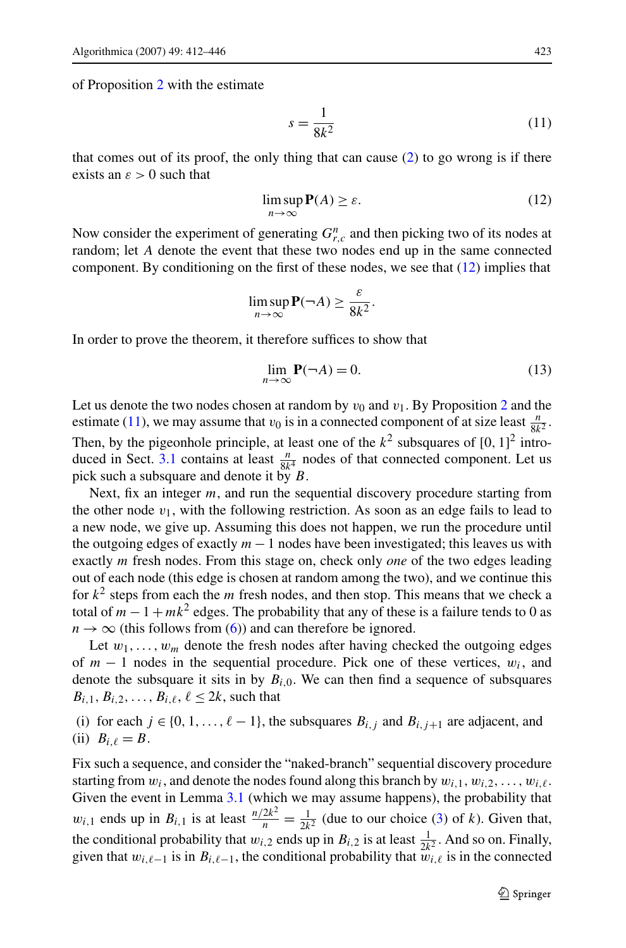<span id="page-11-0"></span>of Proposition [2](#page-9-0) with the estimate

$$
s = \frac{1}{8k^2} \tag{11}
$$

that comes out of its proof, the only thing that can cause  $(2)$  $(2)$  to go wrong is if there exists an  $\varepsilon > 0$  such that

$$
\limsup_{n \to \infty} \mathbf{P}(A) \ge \varepsilon. \tag{12}
$$

Now consider the experiment of generating  $G_{r,c}^n$  and then picking two of its nodes at random; let *A* denote the event that these two nodes end up in the same connected component. By conditioning on the first of these nodes, we see that (12) implies that

$$
\limsup_{n\to\infty} \mathbf{P}(\neg A) \ge \frac{\varepsilon}{8k^2}.
$$

In order to prove the theorem, it therefore suffices to show that

$$
\lim_{n \to \infty} \mathbf{P}(\neg A) = 0. \tag{13}
$$

Let us denote the two nodes chosen at random by  $v_0$  and  $v_1$ . By Proposition [2](#page-9-0) and the estimate (11), we may assume that  $v_0$  is in a connected component of at size least  $\frac{n}{8k^2}$ . Then, by the pigeonhole principle, at least one of the  $k^2$  subsquares of  $[0, 1]^2$  intro-duced in Sect. [3.1](#page-7-0) contains at least  $\frac{n}{8k^4}$  nodes of that connected component. Let us pick such a subsquare and denote it by *B*.

Next, fix an integer *m*, and run the sequential discovery procedure starting from the other node  $v_1$ , with the following restriction. As soon as an edge fails to lead to a new node, we give up. Assuming this does not happen, we run the procedure until the outgoing edges of exactly *m*−1 nodes have been investigated; this leaves us with exactly *m* fresh nodes. From this stage on, check only *one* of the two edges leading out of each node (this edge is chosen at random among the two), and we continue this for  $k^2$  steps from each the *m* fresh nodes, and then stop. This means that we check a total of  $m - 1 + mk^2$  edges. The probability that any of these is a failure tends to 0 as  $n \to \infty$  (this follows from ([6\)](#page-8-0)) and can therefore be ignored.

Let  $w_1, \ldots, w_m$  denote the fresh nodes after having checked the outgoing edges of *m* − 1 nodes in the sequential procedure. Pick one of these vertices, *wi*, and denote the subsquare it sits in by  $B_{i,0}$ . We can then find a sequence of subsquares  $B_{i,1}, B_{i,2}, \ldots, B_{i,\ell}, \ell \leq 2k$ , such that

(i) for each  $j \in \{0, 1, \ldots, \ell - 1\}$ , the subsquares  $B_{i,j}$  and  $B_{i,j+1}$  are adjacent, and (ii)  $B_{i,\ell} = B$ .

Fix such a sequence, and consider the "naked-branch" sequential discovery procedure starting from  $w_i$ , and denote the nodes found along this branch by  $w_{i,1}, w_{i,2}, \ldots, w_{i,\ell}$ . Given the event in Lemma [3.1](#page-7-0) (which we may assume happens), the probability that  $w_{i,1}$  ends up in  $B_{i,1}$  is at least  $\frac{n/2k^2}{n} = \frac{1}{2k^2}$  (due to our choice [\(3](#page-7-0)) of *k*). Given that, the conditional probability that  $w_{i,2}$  ends up in  $B_{i,2}$  is at least  $\frac{1}{2k^2}$ . And so on. Finally, given that  $w_{i,\ell-1}$  is in  $B_{i,\ell-1}$ , the conditional probability that  $\overline{w}_{i,\ell}$  is in the connected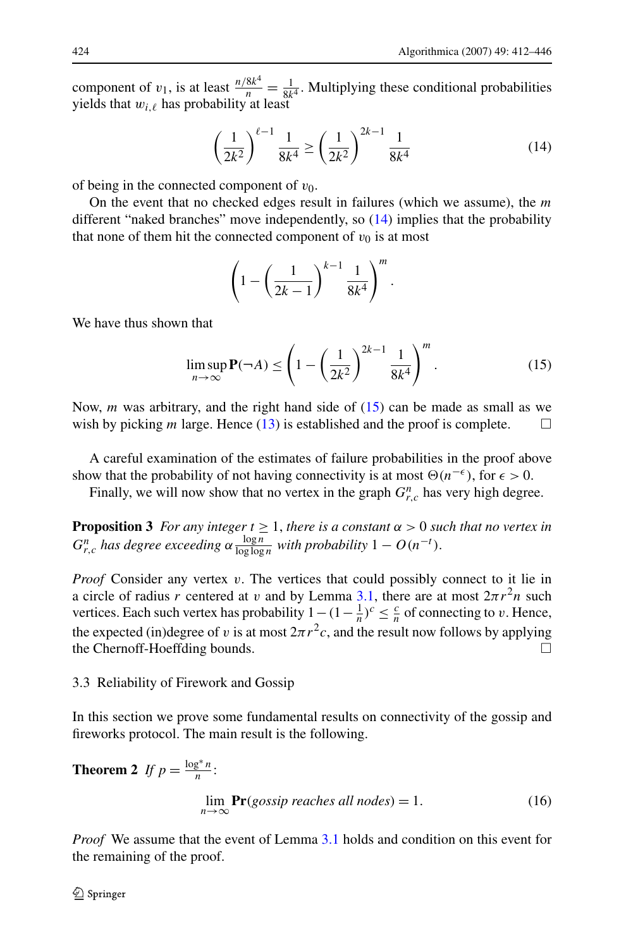component of  $v_1$ , is at least  $\frac{n/8k^4}{n} = \frac{1}{8k^4}$ . Multiplying these conditional probabilities yields that  $w_{i,\ell}$  has probability at least

$$
\left(\frac{1}{2k^2}\right)^{\ell-1} \frac{1}{8k^4} \ge \left(\frac{1}{2k^2}\right)^{2k-1} \frac{1}{8k^4}
$$
 (14)

of being in the connected component of  $v_0$ .

On the event that no checked edges result in failures (which we assume), the *m* different "naked branches" move independently, so (14) implies that the probability that none of them hit the connected component of  $v_0$  is at most

$$
\left(1-\left(\frac{1}{2k-1}\right)^{k-1}\frac{1}{8k^4}\right)^m.
$$

We have thus shown that

$$
\limsup_{n \to \infty} \mathbf{P}(\neg A) \le \left(1 - \left(\frac{1}{2k^2}\right)^{2k-1} \frac{1}{8k^4}\right)^m.
$$
 (15)

Now, *m* was arbitrary, and the right hand side of (15) can be made as small as we wish by picking *m* large. Hence [\(13](#page-11-0)) is established and the proof is complete.  $\Box$ 

A careful examination of the estimates of failure probabilities in the proof above show that the probability of not having connectivity is at most  $\Theta(n^{-\epsilon})$ , for  $\epsilon > 0$ .

Finally, we will now show that no vertex in the graph  $G_{r,c}^n$  has very high degree.

**Proposition 3** *For any integer*  $t \geq 1$ *, there is a constant*  $\alpha > 0$  *such that no vertex in*  $G_{r,c}^n$  *has degree exceeding*  $\alpha \frac{\log n}{\log \log n}$  *with probability*  $1 - O(n^{-t})$ *.* 

*Proof* Consider any vertex *v*. The vertices that could possibly connect to it lie in a circle of radius *r* centered at *v* and by Lemma [3.1,](#page-7-0) there are at most  $2\pi r^2 n$  such vertices. Each such vertex has probability  $1 - (1 - \frac{1}{n})^c \leq \frac{c}{n}$  of connecting to *v*. Hence, the expected (in)degree of *v* is at most  $2\pi r^2c$ , and the result now follows by applying the Chernoff-Hoeffding bounds.

#### 3.3 Reliability of Firework and Gossip

In this section we prove some fundamental results on connectivity of the gossip and fireworks protocol. The main result is the following.

**Theorem 2** If 
$$
p = \frac{\log^* n}{n}
$$
:  
\n
$$
\lim_{n \to \infty} \mathbf{Pr}(g \circ \text{ssip reaches all nodes}) = 1.
$$
\n(16)

*Proof* We assume that the event of Lemma [3.1](#page-7-0) holds and condition on this event for the remaining of the proof.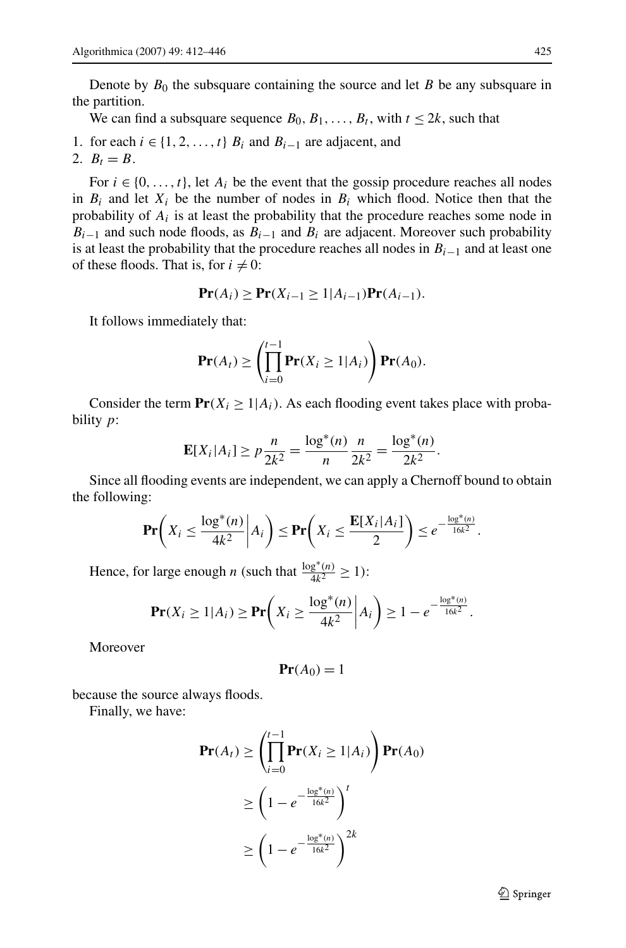Denote by  $B_0$  the subsquare containing the source and let *B* be any subsquare in the partition.

We can find a subsquare sequence  $B_0, B_1, \ldots, B_t$ , with  $t \leq 2k$ , such that

1. for each  $i \in \{1, 2, \ldots, t\}$  *B<sub>i</sub>* and *B<sub>i</sub>*<sup>−1</sup> are adjacent, and 2.  $B_t = B$ .

For  $i \in \{0, \ldots, t\}$ , let  $A_i$  be the event that the gossip procedure reaches all nodes in  $B_i$  and let  $X_i$  be the number of nodes in  $B_i$  which flood. Notice then that the probability of  $A_i$  is at least the probability that the procedure reaches some node in  $B_{i-1}$  and such node floods, as  $B_{i-1}$  and  $B_i$  are adjacent. Moreover such probability is at least the probability that the procedure reaches all nodes in  $B<sub>i-1</sub>$  and at least one of these floods. That is, for  $i \neq 0$ :

$$
\Pr(A_i) \ge \Pr(X_{i-1} \ge 1 | A_{i-1}) \Pr(A_{i-1}).
$$

It follows immediately that:

$$
\mathbf{Pr}(A_t) \ge \left(\prod_{i=0}^{t-1} \mathbf{Pr}(X_i \ge 1 | A_i)\right) \mathbf{Pr}(A_0).
$$

Consider the term  $Pr(X_i \geq 1 | A_i)$ . As each flooding event takes place with probability *p*:

$$
\mathbf{E}[X_i|A_i] \ge p \frac{n}{2k^2} = \frac{\log^*(n)}{n} \frac{n}{2k^2} = \frac{\log^*(n)}{2k^2}.
$$

Since all flooding events are independent, we can apply a Chernoff bound to obtain the following:

$$
\mathbf{Pr}\bigg(X_i \leq \frac{\log^*(n)}{4k^2} \bigg| A_i\bigg) \leq \mathbf{Pr}\bigg(X_i \leq \frac{\mathbf{E}[X_i|A_i]}{2}\bigg) \leq e^{-\frac{\log^*(n)}{16k^2}}.
$$

Hence, for large enough *n* (such that  $\frac{\log^*(n)}{4k^2} \ge 1$ ):

$$
\mathbf{Pr}(X_i \ge 1 | A_i) \ge \mathbf{Pr}\bigg(X_i \ge \frac{\log^*(n)}{4k^2} | A_i \bigg) \ge 1 - e^{-\frac{\log^*(n)}{16k^2}}.
$$

Moreover

$$
\mathbf{Pr}(A_0) = 1
$$

because the source always floods.

Finally, we have:

$$
\mathbf{Pr}(A_t) \ge \left(\prod_{i=0}^{t-1} \mathbf{Pr}(X_i \ge 1 | A_i) \right) \mathbf{Pr}(A_0)
$$
  
\n
$$
\ge \left(1 - e^{-\frac{\log^*(n)}{16k^2}}\right)^t
$$
  
\n
$$
\ge \left(1 - e^{-\frac{\log^*(n)}{16k^2}}\right)^{2k}
$$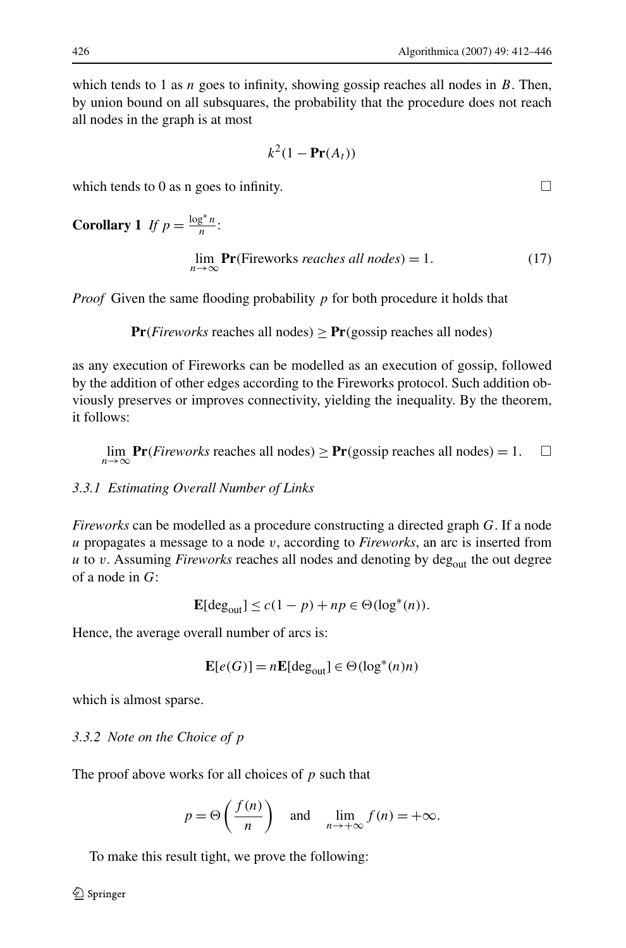which tends to 1 as *n* goes to infinity, showing gossip reaches all nodes in *B*. Then, by union bound on all subsquares, the probability that the procedure does not reach all nodes in the graph is at most

$$
k^2(1-\mathbf{Pr}(A_t))
$$

which tends to 0 as n goes to infinity.  $\Box$ 

**Corollary 1** *If*  $p = \frac{\log^* n}{n}$ :  $\lim_{n \to \infty} \Pr(\text{Fireworks reaches all nodes}) = 1.$  (17)

*Proof* Given the same flooding probability *p* for both procedure it holds that

#### $Pr(Fireworks \text{ reaches all nodes}) \geq Pr(gossip \text{ reaches all nodes})$

as any execution of Fireworks can be modelled as an execution of gossip, followed by the addition of other edges according to the Fireworks protocol. Such addition obviously preserves or improves connectivity, yielding the inequality. By the theorem, it follows:

$$
\lim_{n \to \infty} \mathbf{Pr}(Fireworks \text{ reaches all nodes}) \ge \mathbf{Pr}(\text{gossip reaches all nodes}) = 1. \quad \Box
$$

#### *3.3.1 Estimating Overall Number of Links*

*Fireworks* can be modelled as a procedure constructing a directed graph *G*. If a node *u* propagates a message to a node *v*, according to *Fireworks*, an arc is inserted from  *to <i>v*. Assuming *Fireworks* reaches all nodes and denoting by deg<sub>out</sub> the out degree of a node in *G*:

 $E[\deg_{\text{out}}] \le c(1-p) + np \in \Theta(\log^*(n)).$ 

Hence, the average overall number of arcs is:

$$
\mathbf{E}[e(G)] = n\mathbf{E}[deg_{\text{out}}] \in \Theta(\log^*(n)n)
$$

which is almost sparse.

## *3.3.2 Note on the Choice of p*

The proof above works for all choices of *p* such that

$$
p = \Theta\left(\frac{f(n)}{n}\right)
$$
 and  $\lim_{n \to +\infty} f(n) = +\infty$ .

To make this result tight, we prove the following: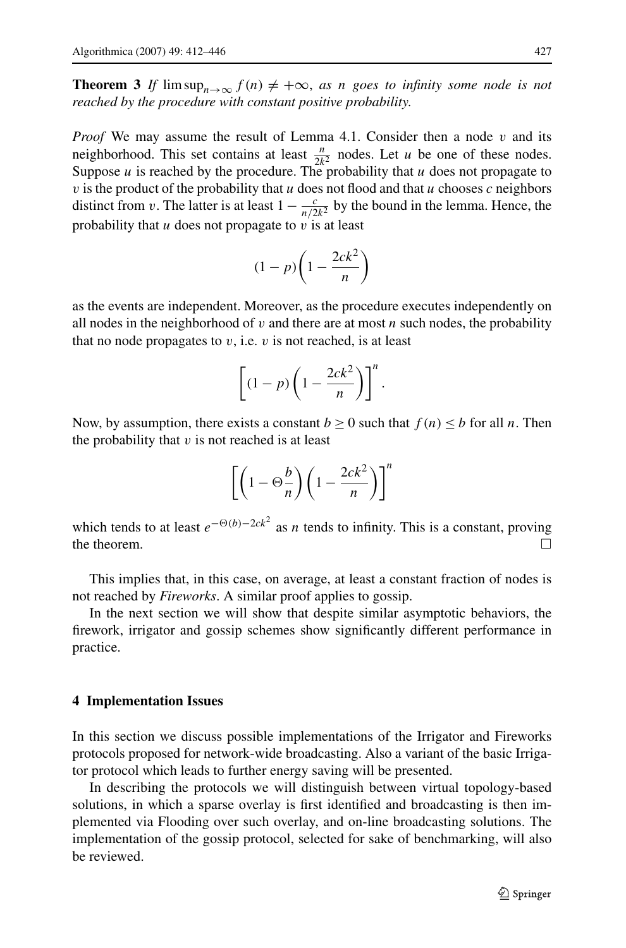<span id="page-15-0"></span>**Theorem 3** *If*  $\limsup_{n\to\infty} f(n) \neq +\infty$ , *as n goes to infinity some node is not reached by the procedure with constant positive probability*.

*Proof* We may assume the result of Lemma 4.1. Consider then a node *v* and its neighborhood. This set contains at least  $\frac{n}{2k^2}$  nodes. Let *u* be one of these nodes. Suppose  $u$  is reached by the procedure. The probability that  $u$  does not propagate to  $v$  is the product of the probability that  $u$  does not flood and that  $u$  chooses  $c$  neighbors distinct from *v*. The latter is at least  $1 - \frac{c}{n/2k^2}$  by the bound in the lemma. Hence, the probability that  $u$  does not propagate to  $v$  is at least

$$
(1-p)\bigg(1-\frac{2ck^2}{n}\bigg)
$$

as the events are independent. Moreover, as the procedure executes independently on all nodes in the neighborhood of *v* and there are at most *n* such nodes, the probability that no node propagates to  $v$ , i.e.  $v$  is not reached, is at least

$$
\left[ (1-p)\left(1-\frac{2ck^2}{n}\right)\right]^n.
$$

Now, by assumption, there exists a constant  $b \ge 0$  such that  $f(n) \le b$  for all *n*. Then the probability that *v* is not reached is at least

$$
\left[ \left( 1 - \Theta \frac{b}{n} \right) \left( 1 - \frac{2ck^2}{n} \right) \right]^n
$$

which tends to at least  $e^{-\Theta(b)-2ck^2}$  as *n* tends to infinity. This is a constant, proving the theorem.  $\Box$ 

This implies that, in this case, on average, at least a constant fraction of nodes is not reached by *Fireworks*. A similar proof applies to gossip.

In the next section we will show that despite similar asymptotic behaviors, the firework, irrigator and gossip schemes show significantly different performance in practice.

#### **4 Implementation Issues**

In this section we discuss possible implementations of the Irrigator and Fireworks protocols proposed for network-wide broadcasting. Also a variant of the basic Irrigator protocol which leads to further energy saving will be presented.

In describing the protocols we will distinguish between virtual topology-based solutions, in which a sparse overlay is first identified and broadcasting is then implemented via Flooding over such overlay, and on-line broadcasting solutions. The implementation of the gossip protocol, selected for sake of benchmarking, will also be reviewed.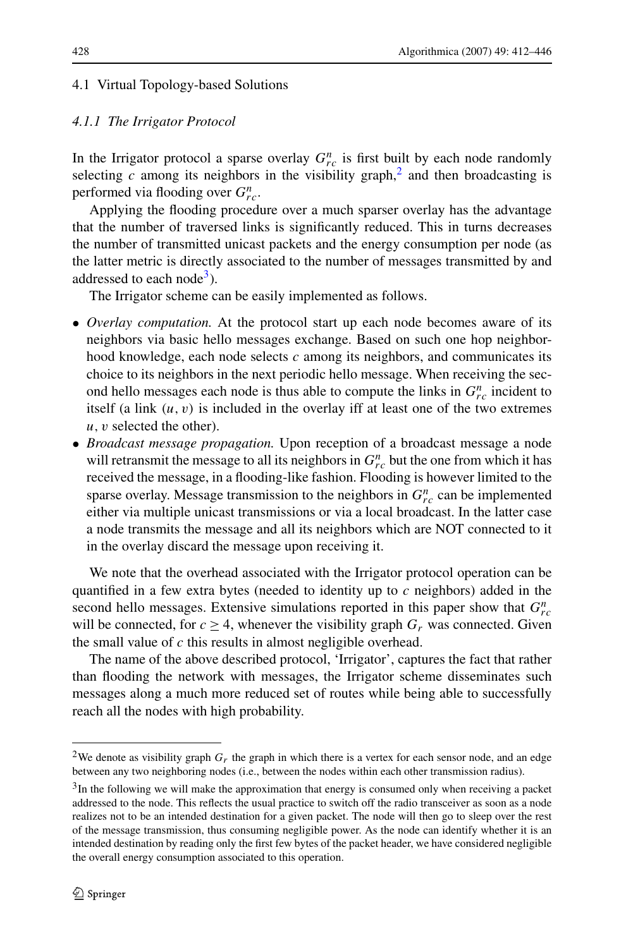#### 4.1 Virtual Topology-based Solutions

### *4.1.1 The Irrigator Protocol*

In the Irrigator protocol a sparse overlay  $G_{rc}^n$  is first built by each node randomly selecting  $c$  among its neighbors in the visibility graph,<sup>2</sup> and then broadcasting is performed via flooding over *Gn rc*.

Applying the flooding procedure over a much sparser overlay has the advantage that the number of traversed links is significantly reduced. This in turns decreases the number of transmitted unicast packets and the energy consumption per node (as the latter metric is directly associated to the number of messages transmitted by and addressed to each node<sup>3</sup>).

The Irrigator scheme can be easily implemented as follows.

- *Overlay computation.* At the protocol start up each node becomes aware of its neighbors via basic hello messages exchange. Based on such one hop neighborhood knowledge, each node selects *c* among its neighbors, and communicates its choice to its neighbors in the next periodic hello message. When receiving the second hello messages each node is thus able to compute the links in  $G_{rc}^n$  incident to itself (a link  $(u, v)$  is included in the overlay iff at least one of the two extremes *u,v* selected the other).
- *Broadcast message propagation.* Upon reception of a broadcast message a node will retransmit the message to all its neighbors in  $G_{rc}^n$  but the one from which it has received the message, in a flooding-like fashion. Flooding is however limited to the sparse overlay. Message transmission to the neighbors in  $G_{rc}^n$  can be implemented either via multiple unicast transmissions or via a local broadcast. In the latter case a node transmits the message and all its neighbors which are NOT connected to it in the overlay discard the message upon receiving it.

We note that the overhead associated with the Irrigator protocol operation can be quantified in a few extra bytes (needed to identity up to *c* neighbors) added in the second hello messages. Extensive simulations reported in this paper show that  $G_{rc}^n$ will be connected, for  $c \geq 4$ , whenever the visibility graph  $G_r$  was connected. Given the small value of *c* this results in almost negligible overhead.

The name of the above described protocol, 'Irrigator', captures the fact that rather than flooding the network with messages, the Irrigator scheme disseminates such messages along a much more reduced set of routes while being able to successfully reach all the nodes with high probability.

<sup>&</sup>lt;sup>2</sup>We denote as visibility graph  $G_r$  the graph in which there is a vertex for each sensor node, and an edge between any two neighboring nodes (i.e., between the nodes within each other transmission radius).

<sup>&</sup>lt;sup>3</sup>In the following we will make the approximation that energy is consumed only when receiving a packet addressed to the node. This reflects the usual practice to switch off the radio transceiver as soon as a node realizes not to be an intended destination for a given packet. The node will then go to sleep over the rest of the message transmission, thus consuming negligible power. As the node can identify whether it is an intended destination by reading only the first few bytes of the packet header, we have considered negligible the overall energy consumption associated to this operation.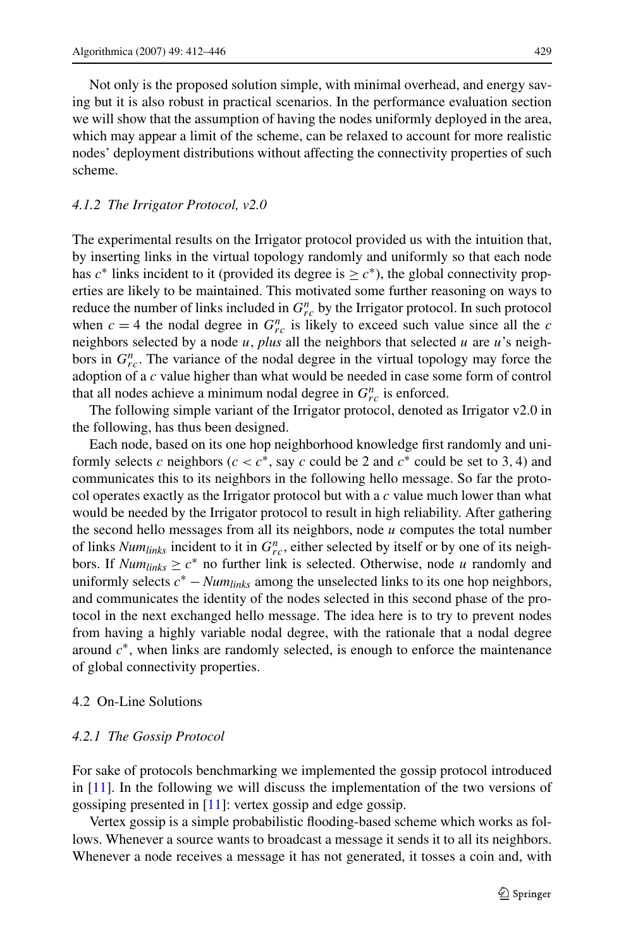Not only is the proposed solution simple, with minimal overhead, and energy saving but it is also robust in practical scenarios. In the performance evaluation section we will show that the assumption of having the nodes uniformly deployed in the area, which may appear a limit of the scheme, can be relaxed to account for more realistic nodes' deployment distributions without affecting the connectivity properties of such scheme.

# *4.1.2 The Irrigator Protocol, v2.0*

The experimental results on the Irrigator protocol provided us with the intuition that, by inserting links in the virtual topology randomly and uniformly so that each node has  $c^*$  links incident to it (provided its degree is  $\geq c^*$ ), the global connectivity properties are likely to be maintained. This motivated some further reasoning on ways to reduce the number of links included in  $G_{rc}^n$  by the Irrigator protocol. In such protocol when  $c = 4$  the nodal degree in  $G_{rc}^n$  is likely to exceed such value since all the *c* neighbors selected by a node *u*, *plus* all the neighbors that selected *u* are *u*'s neighbors in  $G_{rc}^n$ . The variance of the nodal degree in the virtual topology may force the adoption of a *c* value higher than what would be needed in case some form of control that all nodes achieve a minimum nodal degree in  $G_{rc}^n$  is enforced.

The following simple variant of the Irrigator protocol, denoted as Irrigator v2.0 in the following, has thus been designed.

Each node, based on its one hop neighborhood knowledge first randomly and uniformly selects *c* neighbors ( $c < c^*$ , say *c* could be 2 and  $c^*$  could be set to 3, 4) and communicates this to its neighbors in the following hello message. So far the protocol operates exactly as the Irrigator protocol but with a *c* value much lower than what would be needed by the Irrigator protocol to result in high reliability. After gathering the second hello messages from all its neighbors, node *u* computes the total number of links *Num<sub>links</sub>* incident to it in  $G_{rc}^n$ , either selected by itself or by one of its neighbors. If *Num*<sub>links</sub>  $\geq c^*$  no further link is selected. Otherwise, node *u* randomly and uniformly selects  $c^* - Num_{links}$  among the unselected links to its one hop neighbors, and communicates the identity of the nodes selected in this second phase of the protocol in the next exchanged hello message. The idea here is to try to prevent nodes from having a highly variable nodal degree, with the rationale that a nodal degree around *c*∗, when links are randomly selected, is enough to enforce the maintenance of global connectivity properties.

## 4.2 On-Line Solutions

## *4.2.1 The Gossip Protocol*

For sake of protocols benchmarking we implemented the gossip protocol introduced in [\[11\]](#page-33-0). In the following we will discuss the implementation of the two versions of gossiping presented in [[11\]](#page-33-0): vertex gossip and edge gossip.

Vertex gossip is a simple probabilistic flooding-based scheme which works as follows. Whenever a source wants to broadcast a message it sends it to all its neighbors. Whenever a node receives a message it has not generated, it tosses a coin and, with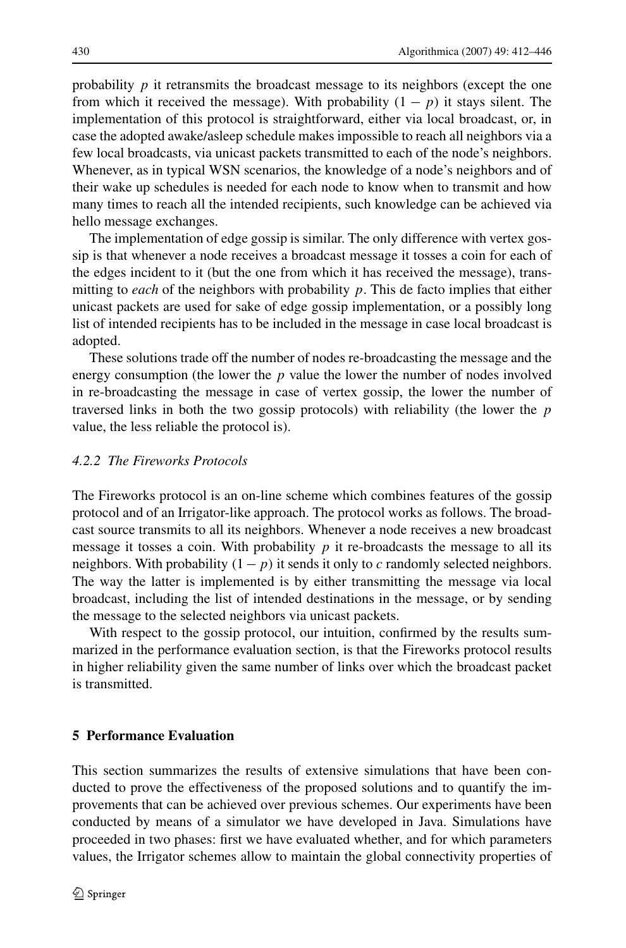<span id="page-18-0"></span>probability  $p$  it retransmits the broadcast message to its neighbors (except the one from which it received the message). With probability  $(1 - p)$  it stays silent. The implementation of this protocol is straightforward, either via local broadcast, or, in case the adopted awake/asleep schedule makes impossible to reach all neighbors via a few local broadcasts, via unicast packets transmitted to each of the node's neighbors. Whenever, as in typical WSN scenarios, the knowledge of a node's neighbors and of their wake up schedules is needed for each node to know when to transmit and how many times to reach all the intended recipients, such knowledge can be achieved via hello message exchanges.

The implementation of edge gossip is similar. The only difference with vertex gossip is that whenever a node receives a broadcast message it tosses a coin for each of the edges incident to it (but the one from which it has received the message), transmitting to *each* of the neighbors with probability *p*. This de facto implies that either unicast packets are used for sake of edge gossip implementation, or a possibly long list of intended recipients has to be included in the message in case local broadcast is adopted.

These solutions trade off the number of nodes re-broadcasting the message and the energy consumption (the lower the *p* value the lower the number of nodes involved in re-broadcasting the message in case of vertex gossip, the lower the number of traversed links in both the two gossip protocols) with reliability (the lower the *p* value, the less reliable the protocol is).

# *4.2.2 The Fireworks Protocols*

The Fireworks protocol is an on-line scheme which combines features of the gossip protocol and of an Irrigator-like approach. The protocol works as follows. The broadcast source transmits to all its neighbors. Whenever a node receives a new broadcast message it tosses a coin. With probability  $p$  it re-broadcasts the message to all its neighbors. With probability  $(1-p)$  it sends it only to *c* randomly selected neighbors. The way the latter is implemented is by either transmitting the message via local broadcast, including the list of intended destinations in the message, or by sending the message to the selected neighbors via unicast packets.

With respect to the gossip protocol, our intuition, confirmed by the results summarized in the performance evaluation section, is that the Fireworks protocol results in higher reliability given the same number of links over which the broadcast packet is transmitted.

#### **5 Performance Evaluation**

This section summarizes the results of extensive simulations that have been conducted to prove the effectiveness of the proposed solutions and to quantify the improvements that can be achieved over previous schemes. Our experiments have been conducted by means of a simulator we have developed in Java. Simulations have proceeded in two phases: first we have evaluated whether, and for which parameters values, the Irrigator schemes allow to maintain the global connectivity properties of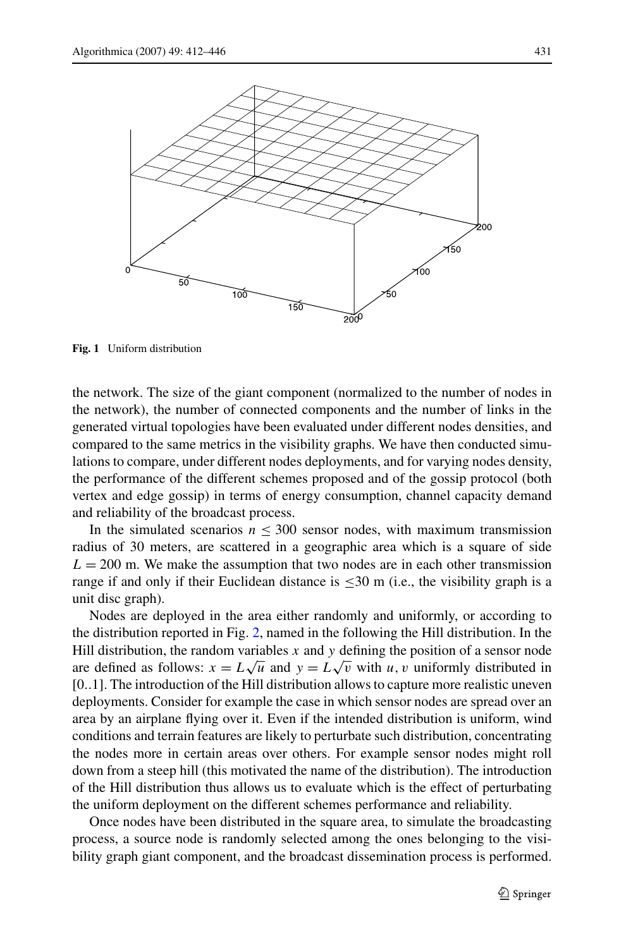

**Fig. 1** Uniform distribution

the network. The size of the giant component (normalized to the number of nodes in the network), the number of connected components and the number of links in the generated virtual topologies have been evaluated under different nodes densities, and compared to the same metrics in the visibility graphs. We have then conducted simulations to compare, under different nodes deployments, and for varying nodes density, the performance of the different schemes proposed and of the gossip protocol (both vertex and edge gossip) in terms of energy consumption, channel capacity demand and reliability of the broadcast process.

In the simulated scenarios  $n \leq 300$  sensor nodes, with maximum transmission radius of 30 meters, are scattered in a geographic area which is a square of side  $L = 200$  m. We make the assumption that two nodes are in each other transmission range if and only if their Euclidean distance is ≤30 m (i.e., the visibility graph is a unit disc graph).

Nodes are deployed in the area either randomly and uniformly, or according to the distribution reported in Fig. [2](#page-20-0), named in the following the Hill distribution. In the Hill distribution, the random variables *x* and *y* defining the position of a sensor node are defined as follows:  $x = L\sqrt{u}$  and  $y = L\sqrt{v}$  with *u*, *v* uniformly distributed in [0*..*1]. The introduction of the Hill distribution allows to capture more realistic uneven deployments. Consider for example the case in which sensor nodes are spread over an area by an airplane flying over it. Even if the intended distribution is uniform, wind conditions and terrain features are likely to perturbate such distribution, concentrating the nodes more in certain areas over others. For example sensor nodes might roll down from a steep hill (this motivated the name of the distribution). The introduction of the Hill distribution thus allows us to evaluate which is the effect of perturbating the uniform deployment on the different schemes performance and reliability.

Once nodes have been distributed in the square area, to simulate the broadcasting process, a source node is randomly selected among the ones belonging to the visibility graph giant component, and the broadcast dissemination process is performed.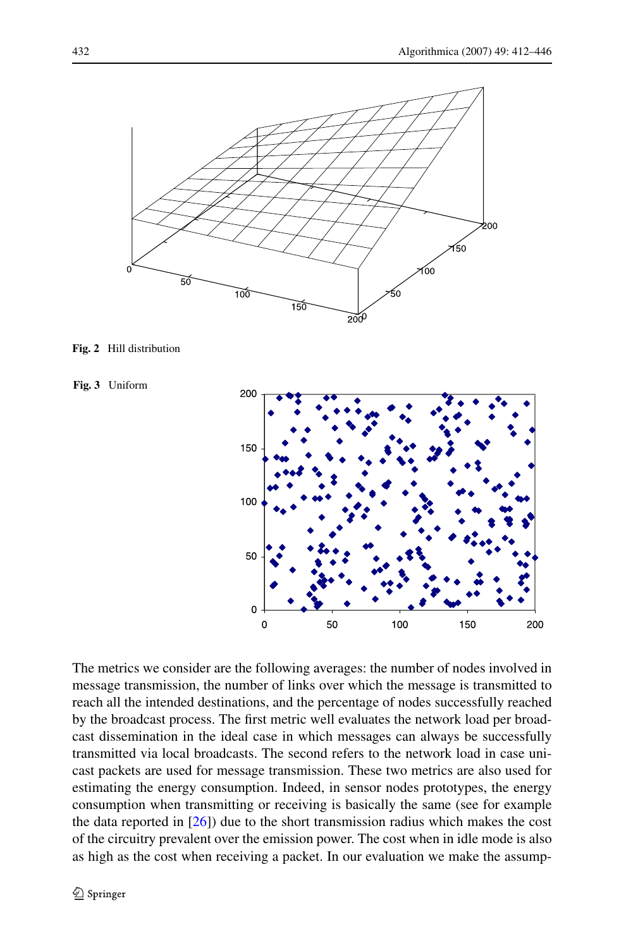<span id="page-20-0"></span>

**Fig. 2** Hill distribution





The metrics we consider are the following averages: the number of nodes involved in message transmission, the number of links over which the message is transmitted to reach all the intended destinations, and the percentage of nodes successfully reached by the broadcast process. The first metric well evaluates the network load per broadcast dissemination in the ideal case in which messages can always be successfully transmitted via local broadcasts. The second refers to the network load in case unicast packets are used for message transmission. These two metrics are also used for estimating the energy consumption. Indeed, in sensor nodes prototypes, the energy consumption when transmitting or receiving is basically the same (see for example the data reported in [\[26](#page-33-0)]) due to the short transmission radius which makes the cost of the circuitry prevalent over the emission power. The cost when in idle mode is also as high as the cost when receiving a packet. In our evaluation we make the assump-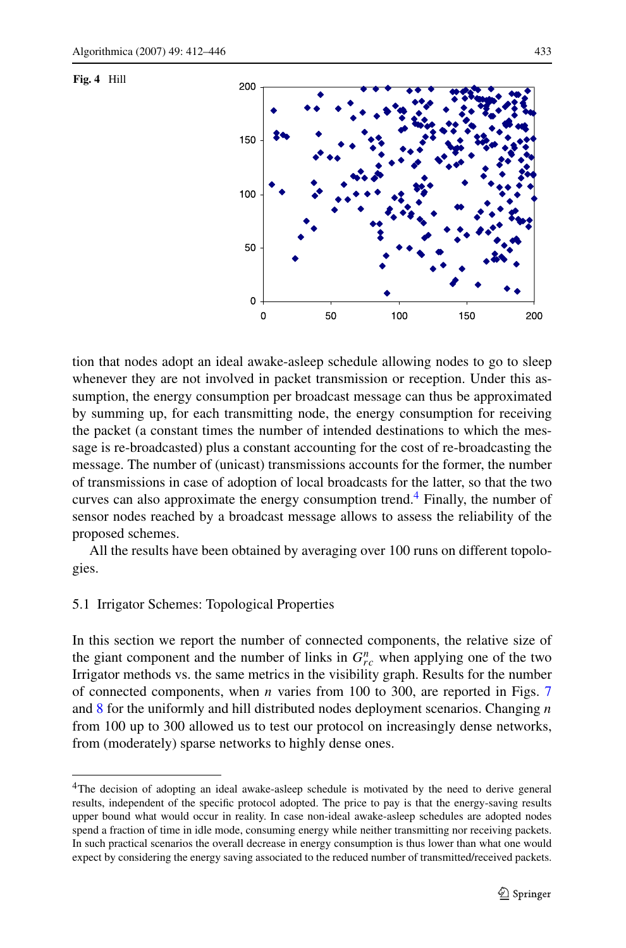

tion that nodes adopt an ideal awake-asleep schedule allowing nodes to go to sleep whenever they are not involved in packet transmission or reception. Under this assumption, the energy consumption per broadcast message can thus be approximated by summing up, for each transmitting node, the energy consumption for receiving the packet (a constant times the number of intended destinations to which the message is re-broadcasted) plus a constant accounting for the cost of re-broadcasting the message. The number of (unicast) transmissions accounts for the former, the number of transmissions in case of adoption of local broadcasts for the latter, so that the two curves can also approximate the energy consumption trend.<sup>4</sup> Finally, the number of sensor nodes reached by a broadcast message allows to assess the reliability of the proposed schemes.

All the results have been obtained by averaging over 100 runs on different topologies.

# 5.1 Irrigator Schemes: Topological Properties

In this section we report the number of connected components, the relative size of the giant component and the number of links in  $G_{rc}^n$  when applying one of the two Irrigator methods vs. the same metrics in the visibility graph. Results for the number of connected components, when *n* varies from 100 to 300, are reported in Figs. [7](#page-24-0) and [8](#page-25-0) for the uniformly and hill distributed nodes deployment scenarios. Changing *n* from 100 up to 300 allowed us to test our protocol on increasingly dense networks, from (moderately) sparse networks to highly dense ones.

<sup>&</sup>lt;sup>4</sup>The decision of adopting an ideal awake-asleep schedule is motivated by the need to derive general results, independent of the specific protocol adopted. The price to pay is that the energy-saving results upper bound what would occur in reality. In case non-ideal awake-asleep schedules are adopted nodes spend a fraction of time in idle mode, consuming energy while neither transmitting nor receiving packets. In such practical scenarios the overall decrease in energy consumption is thus lower than what one would expect by considering the energy saving associated to the reduced number of transmitted/received packets.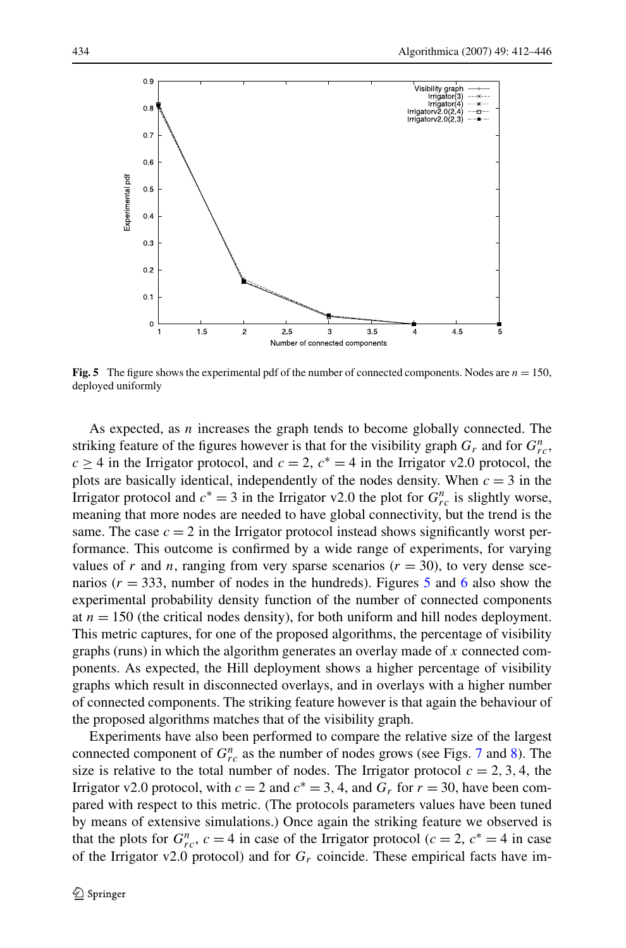

**Fig. 5** The figure shows the experimental pdf of the number of connected components. Nodes are  $n = 150$ , deployed uniformly

As expected, as *n* increases the graph tends to become globally connected. The striking feature of the figures however is that for the visibility graph  $G_r$  and for  $G_{rc}^n$ ,  $c \ge 4$  in the Irrigator protocol, and  $c = 2$ ,  $c^* = 4$  in the Irrigator v2.0 protocol, the plots are basically identical, independently of the nodes density. When  $c = 3$  in the Irrigator protocol and  $c^* = 3$  in the Irrigator v2.0 the plot for  $G_{rc}^n$  is slightly worse, meaning that more nodes are needed to have global connectivity, but the trend is the same. The case  $c = 2$  in the Irrigator protocol instead shows significantly worst performance. This outcome is confirmed by a wide range of experiments, for varying values of  $r$  and  $n$ , ranging from very sparse scenarios ( $r = 30$ ), to very dense scenarios ( $r = 333$ , number of nodes in the hundreds). Figures 5 and [6](#page-23-0) also show the experimental probability density function of the number of connected components at  $n = 150$  (the critical nodes density), for both uniform and hill nodes deployment. This metric captures, for one of the proposed algorithms, the percentage of visibility graphs (runs) in which the algorithm generates an overlay made of *x* connected components. As expected, the Hill deployment shows a higher percentage of visibility graphs which result in disconnected overlays, and in overlays with a higher number of connected components. The striking feature however is that again the behaviour of the proposed algorithms matches that of the visibility graph.

Experiments have also been performed to compare the relative size of the largest connected component of  $G_{rc}^n$  as the number of nodes grows (see Figs. [7](#page-24-0) and [8\)](#page-25-0). The size is relative to the total number of nodes. The Irrigator protocol  $c = 2, 3, 4$ , the Irrigator v2.0 protocol, with  $c = 2$  and  $c^* = 3, 4$ , and  $G_r$  for  $r = 30$ , have been compared with respect to this metric. (The protocols parameters values have been tuned by means of extensive simulations.) Once again the striking feature we observed is that the plots for  $G_{rc}^n$ ,  $c = 4$  in case of the Irrigator protocol ( $c = 2$ ,  $c^* = 4$  in case of the Irrigator v2.0 protocol) and for  $G_r$  coincide. These empirical facts have im-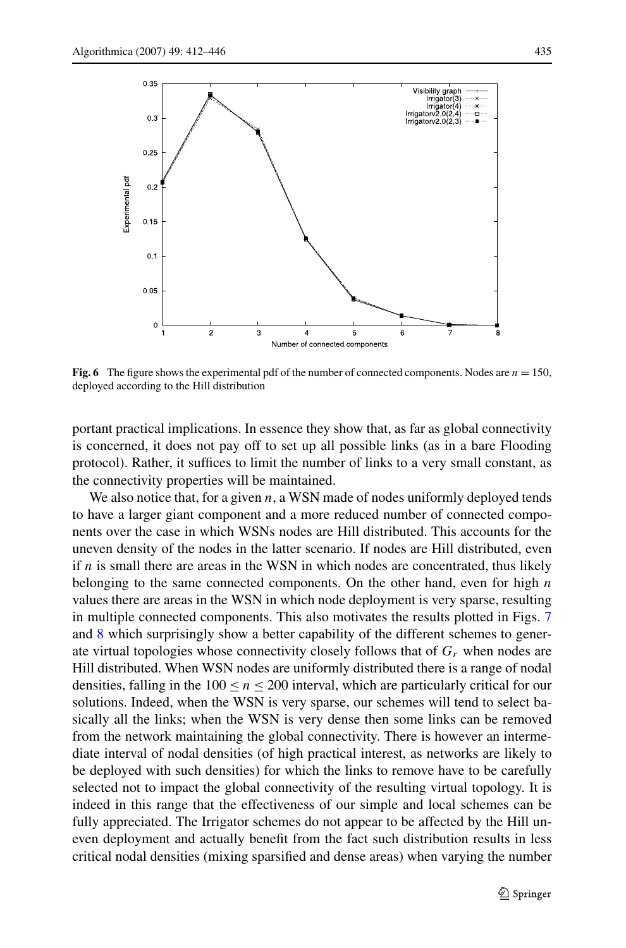<span id="page-23-0"></span>

**Fig. 6** The figure shows the experimental pdf of the number of connected components. Nodes are  $n = 150$ , deployed according to the Hill distribution

portant practical implications. In essence they show that, as far as global connectivity is concerned, it does not pay off to set up all possible links (as in a bare Flooding protocol). Rather, it suffices to limit the number of links to a very small constant, as the connectivity properties will be maintained.

We also notice that, for a given *n*, a WSN made of nodes uniformly deployed tends to have a larger giant component and a more reduced number of connected components over the case in which WSNs nodes are Hill distributed. This accounts for the uneven density of the nodes in the latter scenario. If nodes are Hill distributed, even if *n* is small there are areas in the WSN in which nodes are concentrated, thus likely belonging to the same connected components. On the other hand, even for high *n* values there are areas in the WSN in which node deployment is very sparse, resulting in multiple connected components. This also motivates the results plotted in Figs. [7](#page-24-0) and [8](#page-25-0) which surprisingly show a better capability of the different schemes to generate virtual topologies whose connectivity closely follows that of *Gr* when nodes are Hill distributed. When WSN nodes are uniformly distributed there is a range of nodal densities, falling in the  $100 \le n \le 200$  interval, which are particularly critical for our solutions. Indeed, when the WSN is very sparse, our schemes will tend to select basically all the links; when the WSN is very dense then some links can be removed from the network maintaining the global connectivity. There is however an intermediate interval of nodal densities (of high practical interest, as networks are likely to be deployed with such densities) for which the links to remove have to be carefully selected not to impact the global connectivity of the resulting virtual topology. It is indeed in this range that the effectiveness of our simple and local schemes can be fully appreciated. The Irrigator schemes do not appear to be affected by the Hill uneven deployment and actually benefit from the fact such distribution results in less critical nodal densities (mixing sparsified and dense areas) when varying the number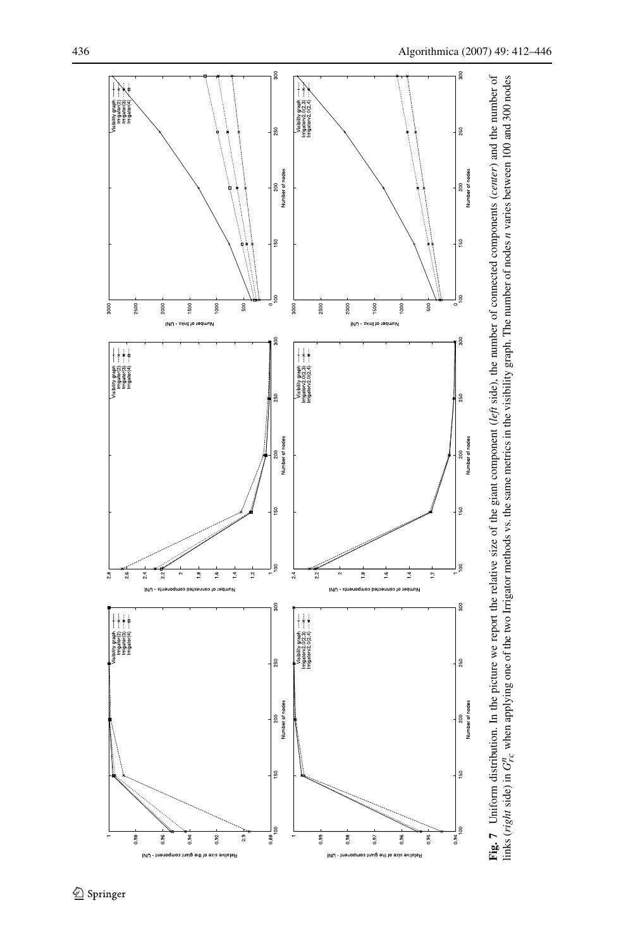<span id="page-24-0"></span>

 $\mathcal{D}$  Springer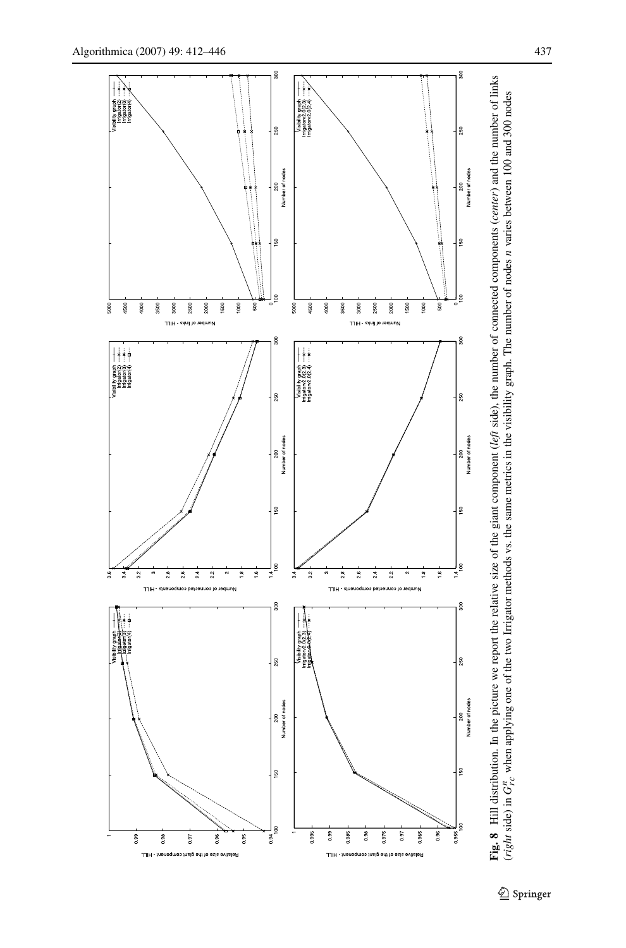<span id="page-25-0"></span>

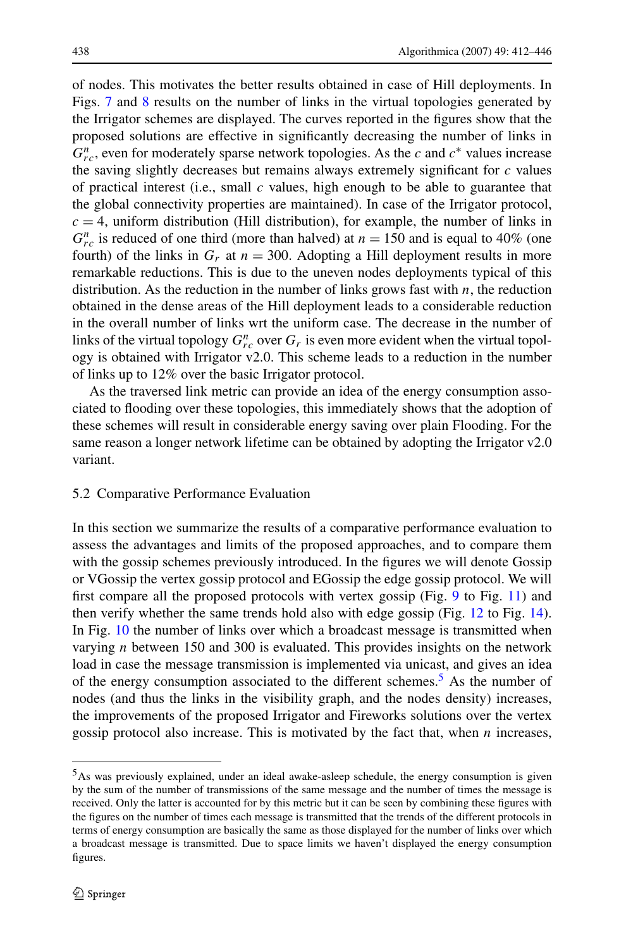of nodes. This motivates the better results obtained in case of Hill deployments. In Figs. [7](#page-24-0) and [8](#page-25-0) results on the number of links in the virtual topologies generated by the Irrigator schemes are displayed. The curves reported in the figures show that the proposed solutions are effective in significantly decreasing the number of links in  $G_{rc}^n$ , even for moderately sparse network topologies. As the *c* and  $c^*$  values increase the saving slightly decreases but remains always extremely significant for *c* values of practical interest (i.e., small *c* values, high enough to be able to guarantee that the global connectivity properties are maintained). In case of the Irrigator protocol,  $c = 4$ , uniform distribution (Hill distribution), for example, the number of links in  $G_{rc}^n$  is reduced of one third (more than halved) at  $n = 150$  and is equal to 40% (one fourth) of the links in  $G_r$  at  $n = 300$ . Adopting a Hill deployment results in more remarkable reductions. This is due to the uneven nodes deployments typical of this distribution. As the reduction in the number of links grows fast with *n*, the reduction obtained in the dense areas of the Hill deployment leads to a considerable reduction in the overall number of links wrt the uniform case. The decrease in the number of links of the virtual topology  $G_{rc}^n$  over  $G_r$  is even more evident when the virtual topology is obtained with Irrigator v2.0. This scheme leads to a reduction in the number of links up to 12% over the basic Irrigator protocol.

As the traversed link metric can provide an idea of the energy consumption associated to flooding over these topologies, this immediately shows that the adoption of these schemes will result in considerable energy saving over plain Flooding. For the same reason a longer network lifetime can be obtained by adopting the Irrigator v2.0 variant.

## 5.2 Comparative Performance Evaluation

In this section we summarize the results of a comparative performance evaluation to assess the advantages and limits of the proposed approaches, and to compare them with the gossip schemes previously introduced. In the figures we will denote Gossip or VGossip the vertex gossip protocol and EGossip the edge gossip protocol. We will first compare all the proposed protocols with vertex gossip (Fig. [9](#page-27-0) to Fig. [11](#page-29-0)) and then verify whether the same trends hold also with edge gossip (Fig. [12](#page-30-0) to Fig. [14\)](#page-31-0). In Fig. [10](#page-28-0) the number of links over which a broadcast message is transmitted when varying *n* between 150 and 300 is evaluated. This provides insights on the network load in case the message transmission is implemented via unicast, and gives an idea of the energy consumption associated to the different schemes.<sup>5</sup> As the number of nodes (and thus the links in the visibility graph, and the nodes density) increases, the improvements of the proposed Irrigator and Fireworks solutions over the vertex gossip protocol also increase. This is motivated by the fact that, when *n* increases,

<sup>5</sup>As was previously explained, under an ideal awake-asleep schedule, the energy consumption is given by the sum of the number of transmissions of the same message and the number of times the message is received. Only the latter is accounted for by this metric but it can be seen by combining these figures with the figures on the number of times each message is transmitted that the trends of the different protocols in terms of energy consumption are basically the same as those displayed for the number of links over which a broadcast message is transmitted. Due to space limits we haven't displayed the energy consumption figures.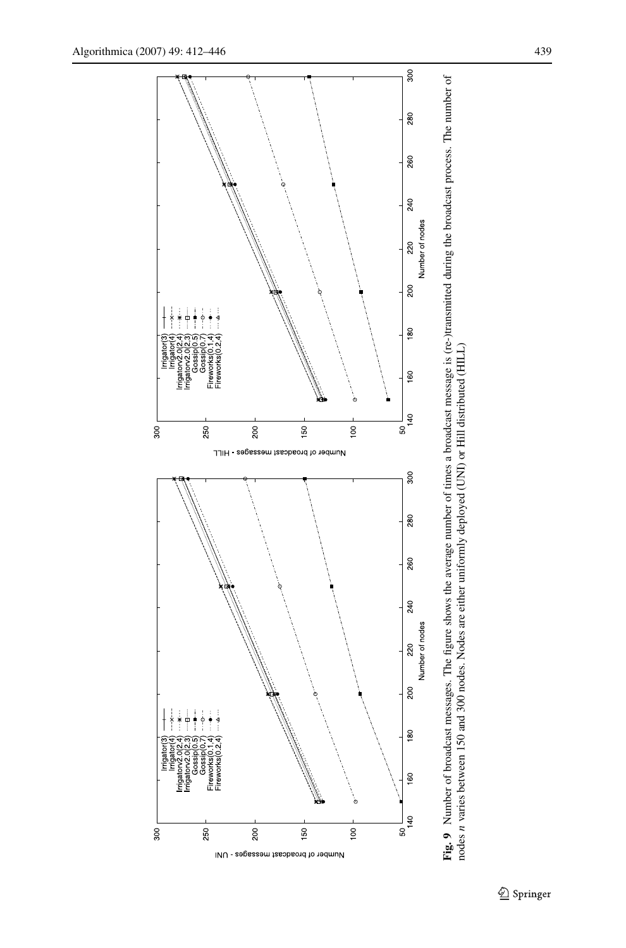<span id="page-27-0"></span>

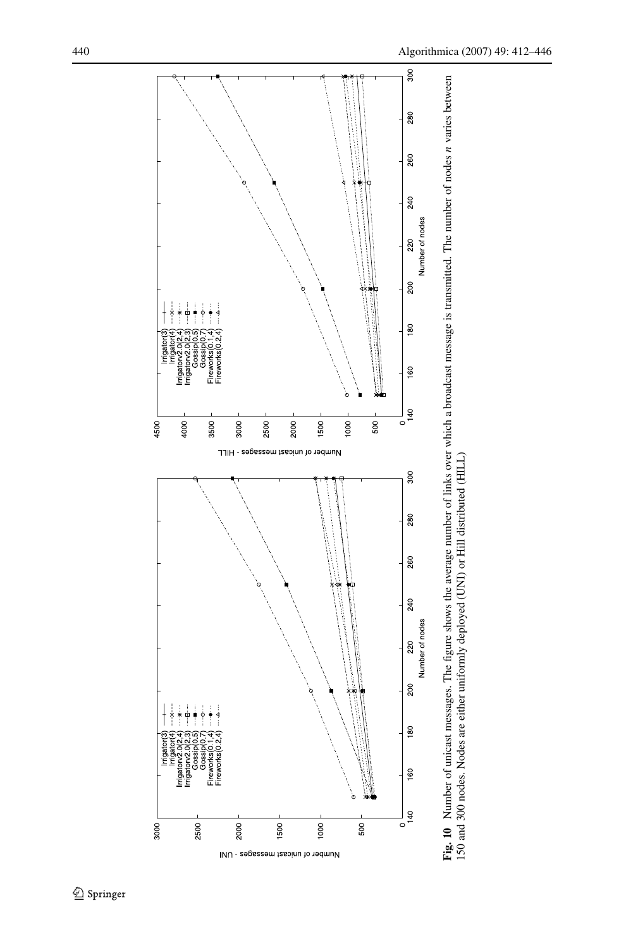<span id="page-28-0"></span>

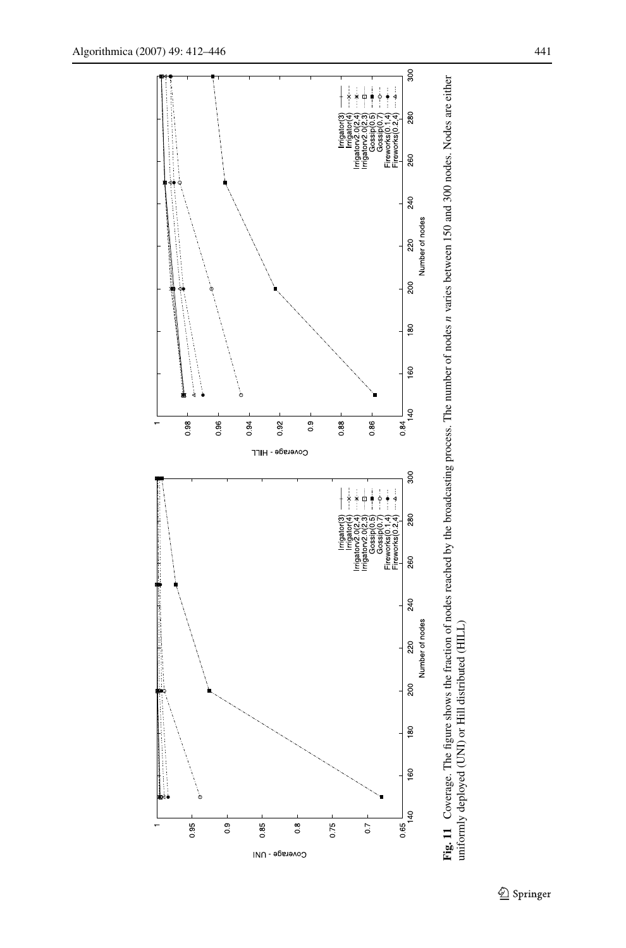<span id="page-29-0"></span>

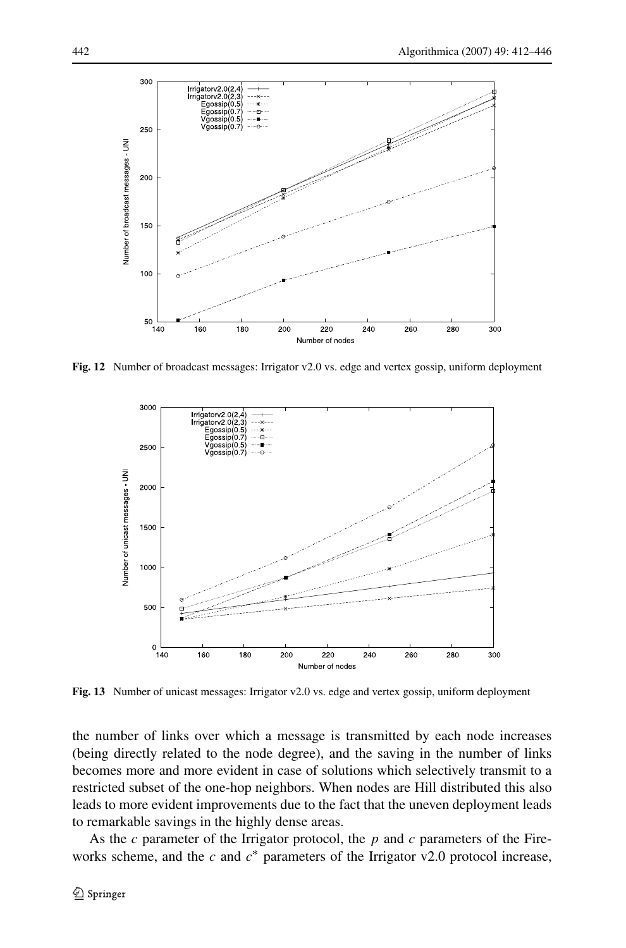<span id="page-30-0"></span>

**Fig. 12** Number of broadcast messages: Irrigator v2.0 vs. edge and vertex gossip, uniform deployment



**Fig. 13** Number of unicast messages: Irrigator v2.0 vs. edge and vertex gossip, uniform deployment

the number of links over which a message is transmitted by each node increases (being directly related to the node degree), and the saving in the number of links becomes more and more evident in case of solutions which selectively transmit to a restricted subset of the one-hop neighbors. When nodes are Hill distributed this also leads to more evident improvements due to the fact that the uneven deployment leads to remarkable savings in the highly dense areas.

As the *c* parameter of the Irrigator protocol, the *p* and *c* parameters of the Fireworks scheme, and the *c* and *c*<sup>∗</sup> parameters of the Irrigator v2.0 protocol increase,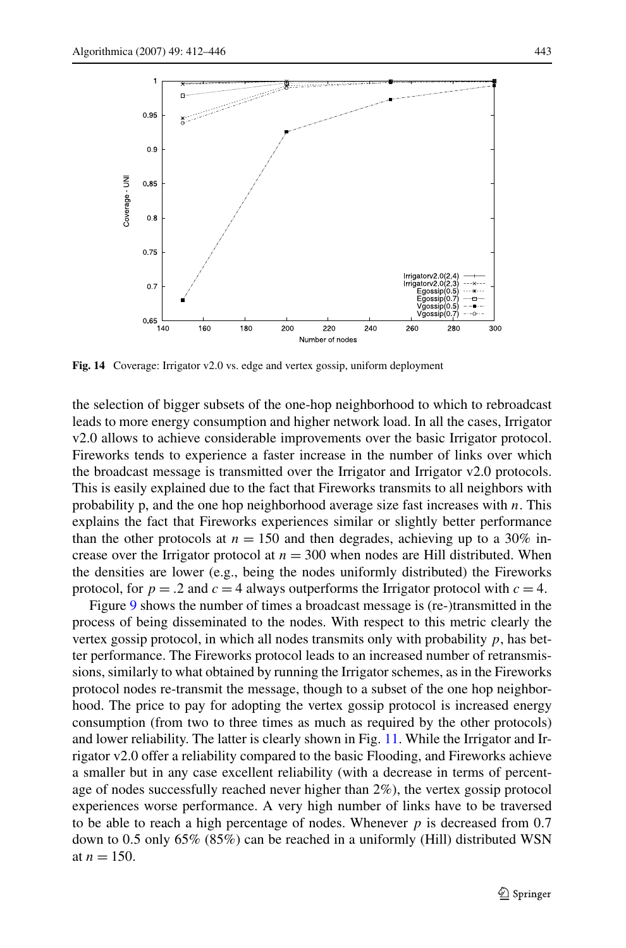<span id="page-31-0"></span>

**Fig. 14** Coverage: Irrigator v2.0 vs. edge and vertex gossip, uniform deployment

the selection of bigger subsets of the one-hop neighborhood to which to rebroadcast leads to more energy consumption and higher network load. In all the cases, Irrigator v2.0 allows to achieve considerable improvements over the basic Irrigator protocol. Fireworks tends to experience a faster increase in the number of links over which the broadcast message is transmitted over the Irrigator and Irrigator v2.0 protocols. This is easily explained due to the fact that Fireworks transmits to all neighbors with probability p, and the one hop neighborhood average size fast increases with *n*. This explains the fact that Fireworks experiences similar or slightly better performance than the other protocols at  $n = 150$  and then degrades, achieving up to a 30% increase over the Irrigator protocol at  $n = 300$  when nodes are Hill distributed. When the densities are lower (e.g., being the nodes uniformly distributed) the Fireworks protocol, for  $p = 0.2$  and  $c = 4$  always outperforms the Irrigator protocol with  $c = 4$ .

Figure [9](#page-27-0) shows the number of times a broadcast message is (re-)transmitted in the process of being disseminated to the nodes. With respect to this metric clearly the vertex gossip protocol, in which all nodes transmits only with probability *p*, has better performance. The Fireworks protocol leads to an increased number of retransmissions, similarly to what obtained by running the Irrigator schemes, as in the Fireworks protocol nodes re-transmit the message, though to a subset of the one hop neighborhood. The price to pay for adopting the vertex gossip protocol is increased energy consumption (from two to three times as much as required by the other protocols) and lower reliability. The latter is clearly shown in Fig. [11.](#page-29-0) While the Irrigator and Irrigator v2.0 offer a reliability compared to the basic Flooding, and Fireworks achieve a smaller but in any case excellent reliability (with a decrease in terms of percentage of nodes successfully reached never higher than 2%), the vertex gossip protocol experiences worse performance. A very high number of links have to be traversed to be able to reach a high percentage of nodes. Whenever *p* is decreased from 0*.*7 down to 0*.*5 only 65% (85%) can be reached in a uniformly (Hill) distributed WSN at  $n = 150$ .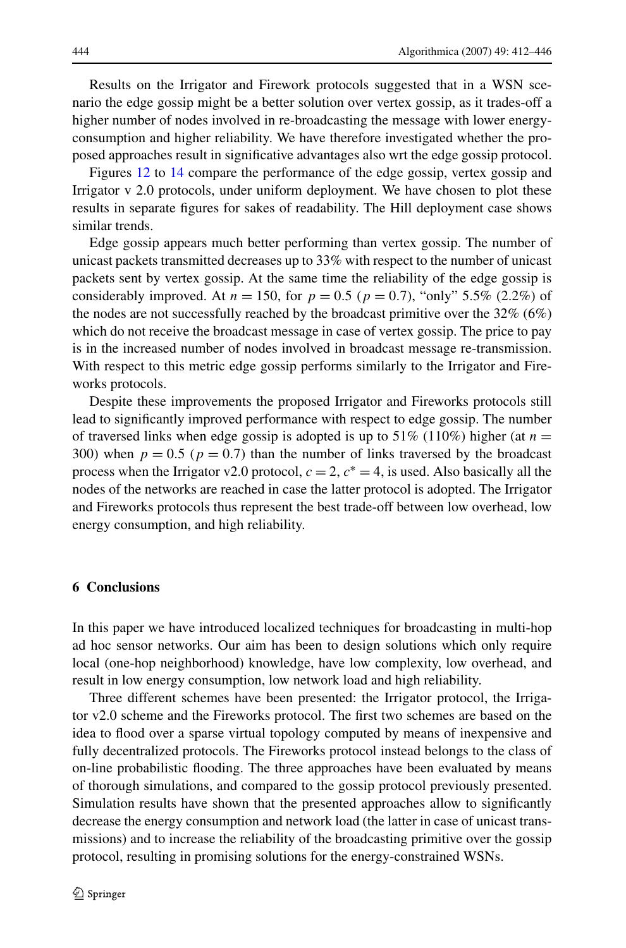<span id="page-32-0"></span>Results on the Irrigator and Firework protocols suggested that in a WSN scenario the edge gossip might be a better solution over vertex gossip, as it trades-off a higher number of nodes involved in re-broadcasting the message with lower energyconsumption and higher reliability. We have therefore investigated whether the proposed approaches result in significative advantages also wrt the edge gossip protocol.

Figures [12](#page-30-0) to [14](#page-31-0) compare the performance of the edge gossip, vertex gossip and Irrigator v 2.0 protocols, under uniform deployment. We have chosen to plot these results in separate figures for sakes of readability. The Hill deployment case shows similar trends.

Edge gossip appears much better performing than vertex gossip. The number of unicast packets transmitted decreases up to 33% with respect to the number of unicast packets sent by vertex gossip. At the same time the reliability of the edge gossip is considerably improved. At  $n = 150$ , for  $p = 0.5$  ( $p = 0.7$ ), "only" 5.5% (2.2%) of the nodes are not successfully reached by the broadcast primitive over the  $32\%$  (6%) which do not receive the broadcast message in case of vertex gossip. The price to pay is in the increased number of nodes involved in broadcast message re-transmission. With respect to this metric edge gossip performs similarly to the Irrigator and Fireworks protocols.

Despite these improvements the proposed Irrigator and Fireworks protocols still lead to significantly improved performance with respect to edge gossip. The number of traversed links when edge gossip is adopted is up to  $51\%$  (110%) higher (at *n* = 300) when  $p = 0.5$  ( $p = 0.7$ ) than the number of links traversed by the broadcast process when the Irrigator v2.0 protocol,  $c = 2$ ,  $c^* = 4$ , is used. Also basically all the nodes of the networks are reached in case the latter protocol is adopted. The Irrigator and Fireworks protocols thus represent the best trade-off between low overhead, low energy consumption, and high reliability.

#### **6 Conclusions**

In this paper we have introduced localized techniques for broadcasting in multi-hop ad hoc sensor networks. Our aim has been to design solutions which only require local (one-hop neighborhood) knowledge, have low complexity, low overhead, and result in low energy consumption, low network load and high reliability.

Three different schemes have been presented: the Irrigator protocol, the Irrigator v2.0 scheme and the Fireworks protocol. The first two schemes are based on the idea to flood over a sparse virtual topology computed by means of inexpensive and fully decentralized protocols. The Fireworks protocol instead belongs to the class of on-line probabilistic flooding. The three approaches have been evaluated by means of thorough simulations, and compared to the gossip protocol previously presented. Simulation results have shown that the presented approaches allow to significantly decrease the energy consumption and network load (the latter in case of unicast transmissions) and to increase the reliability of the broadcasting primitive over the gossip protocol, resulting in promising solutions for the energy-constrained WSNs.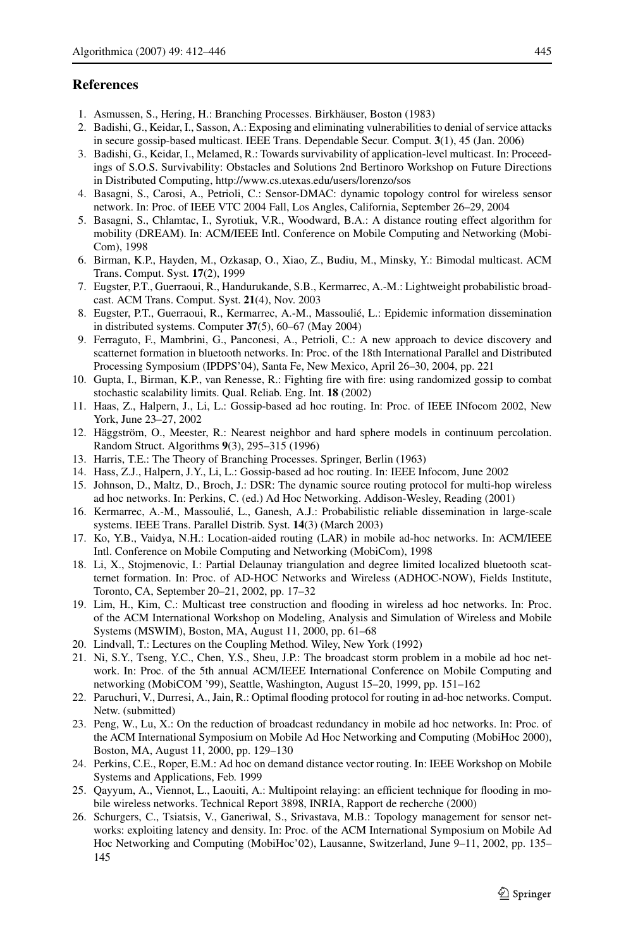# <span id="page-33-0"></span>**References**

- 1. Asmussen, S., Hering, H.: Branching Processes. Birkhäuser, Boston (1983)
- 2. Badishi, G., Keidar, I., Sasson, A.: Exposing and eliminating vulnerabilities to denial of service attacks in secure gossip-based multicast. IEEE Trans. Dependable Secur. Comput. **3**(1), 45 (Jan. 2006)
- 3. Badishi, G., Keidar, I., Melamed, R.: Towards survivability of application-level multicast. In: Proceedings of S.O.S. Survivability: Obstacles and Solutions 2nd Bertinoro Workshop on Future Directions in Distributed Computing, http://www.cs.utexas.edu/users/lorenzo/sos
- 4. Basagni, S., Carosi, A., Petrioli, C.: Sensor-DMAC: dynamic topology control for wireless sensor network. In: Proc. of IEEE VTC 2004 Fall, Los Angles, California, September 26–29, 2004
- 5. Basagni, S., Chlamtac, I., Syrotiuk, V.R., Woodward, B.A.: A distance routing effect algorithm for mobility (DREAM). In: ACM/IEEE Intl. Conference on Mobile Computing and Networking (Mobi-Com), 1998
- 6. Birman, K.P., Hayden, M., Ozkasap, O., Xiao, Z., Budiu, M., Minsky, Y.: Bimodal multicast. ACM Trans. Comput. Syst. **17**(2), 1999
- 7. Eugster, P.T., Guerraoui, R., Handurukande, S.B., Kermarrec, A.-M.: Lightweight probabilistic broadcast. ACM Trans. Comput. Syst. **21**(4), Nov. 2003
- 8. Eugster, P.T., Guerraoui, R., Kermarrec, A.-M., Massoulié, L.: Epidemic information dissemination in distributed systems. Computer **37**(5), 60–67 (May 2004)
- 9. Ferraguto, F., Mambrini, G., Panconesi, A., Petrioli, C.: A new approach to device discovery and scatternet formation in bluetooth networks. In: Proc. of the 18th International Parallel and Distributed Processing Symposium (IPDPS'04), Santa Fe, New Mexico, April 26–30, 2004, pp. 221
- 10. Gupta, I., Birman, K.P., van Renesse, R.: Fighting fire with fire: using randomized gossip to combat stochastic scalability limits. Qual. Reliab. Eng. Int. **18** (2002)
- 11. Haas, Z., Halpern, J., Li, L.: Gossip-based ad hoc routing. In: Proc. of IEEE INfocom 2002, New York, June 23–27, 2002
- 12. Häggström, O., Meester, R.: Nearest neighbor and hard sphere models in continuum percolation. Random Struct. Algorithms **9**(3), 295–315 (1996)
- 13. Harris, T.E.: The Theory of Branching Processes. Springer, Berlin (1963)
- 14. Hass, Z.J., Halpern, J.Y., Li, L.: Gossip-based ad hoc routing. In: IEEE Infocom, June 2002
- 15. Johnson, D., Maltz, D., Broch, J.: DSR: The dynamic source routing protocol for multi-hop wireless ad hoc networks. In: Perkins, C. (ed.) Ad Hoc Networking. Addison-Wesley, Reading (2001)
- 16. Kermarrec, A.-M., Massoulié, L., Ganesh, A.J.: Probabilistic reliable dissemination in large-scale systems. IEEE Trans. Parallel Distrib. Syst. **14**(3) (March 2003)
- 17. Ko, Y.B., Vaidya, N.H.: Location-aided routing (LAR) in mobile ad-hoc networks. In: ACM/IEEE Intl. Conference on Mobile Computing and Networking (MobiCom), 1998
- 18. Li, X., Stojmenovic, I.: Partial Delaunay triangulation and degree limited localized bluetooth scatternet formation. In: Proc. of AD-HOC Networks and Wireless (ADHOC-NOW), Fields Institute, Toronto, CA, September 20–21, 2002, pp. 17–32
- 19. Lim, H., Kim, C.: Multicast tree construction and flooding in wireless ad hoc networks. In: Proc. of the ACM International Workshop on Modeling, Analysis and Simulation of Wireless and Mobile Systems (MSWIM), Boston, MA, August 11, 2000, pp. 61–68
- 20. Lindvall, T.: Lectures on the Coupling Method. Wiley, New York (1992)
- 21. Ni, S.Y., Tseng, Y.C., Chen, Y.S., Sheu, J.P.: The broadcast storm problem in a mobile ad hoc network. In: Proc. of the 5th annual ACM/IEEE International Conference on Mobile Computing and networking (MobiCOM '99), Seattle, Washington, August 15–20, 1999, pp. 151–162
- 22. Paruchuri, V., Durresi, A., Jain, R.: Optimal flooding protocol for routing in ad-hoc networks. Comput. Netw. (submitted)
- 23. Peng, W., Lu, X.: On the reduction of broadcast redundancy in mobile ad hoc networks. In: Proc. of the ACM International Symposium on Mobile Ad Hoc Networking and Computing (MobiHoc 2000), Boston, MA, August 11, 2000, pp. 129–130
- 24. Perkins, C.E., Roper, E.M.: Ad hoc on demand distance vector routing. In: IEEE Workshop on Mobile Systems and Applications, Feb. 1999
- 25. Qayyum, A., Viennot, L., Laouiti, A.: Multipoint relaying: an efficient technique for flooding in mobile wireless networks. Technical Report 3898, INRIA, Rapport de recherche (2000)
- 26. Schurgers, C., Tsiatsis, V., Ganeriwal, S., Srivastava, M.B.: Topology management for sensor networks: exploiting latency and density. In: Proc. of the ACM International Symposium on Mobile Ad Hoc Networking and Computing (MobiHoc'02), Lausanne, Switzerland, June 9–11, 2002, pp. 135– 145